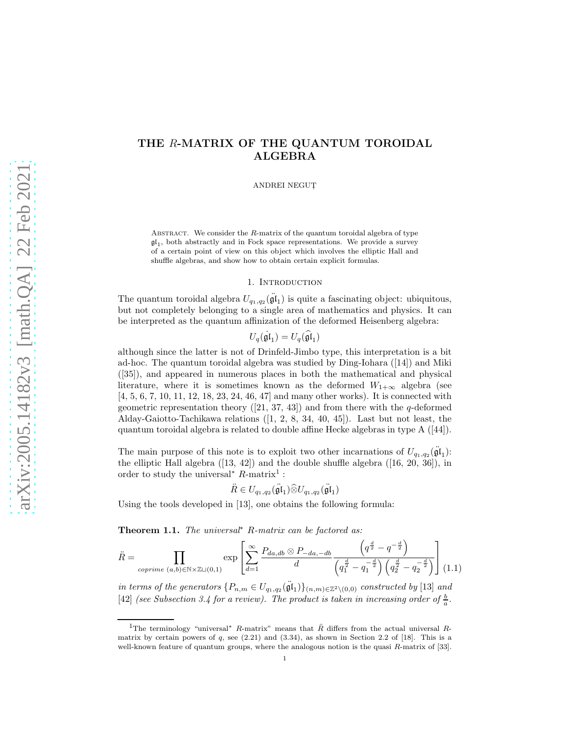# THE R-MATRIX OF THE QUANTUM TOROIDAL ALGEBRA

ANDREI NEGUT,

ABSTRACT. We consider the R-matrix of the quantum toroidal algebra of type  $\mathfrak{gl}_1$ , both abstractly and in Fock space representations. We provide a survey of a certain point of view on this object which involves the elliptic Hall and shuffle algebras, and show how to obtain certain explicit formulas.

### 1. INTRODUCTION

The quantum toroidal algebra  $U_{q_1,q_2}(\ddot{\mathfrak{gl}}_1)$  is quite a fascinating object: ubiquitous, but not completely belonging to a single area of mathematics and physics. It can be interpreted as the quantum affinization of the deformed Heisenberg algebra:

$$
U_q(\mathfrak{gl}_1) = U_q(\widehat{\mathfrak{gl}}_1)
$$

although since the latter is not of Drinfeld-Jimbo type, this interpretation is a bit ad-hoc. The quantum toroidal algebra was studied by Ding-Iohara ([14]) and Miki ([35]), and appeared in numerous places in both the mathematical and physical literature, where it is sometimes known as the deformed  $W_{1+\infty}$  algebra (see [4, 5, 6, 7, 10, 11, 12, 18, 23, 24, 46, 47] and many other works). It is connected with geometric representation theory  $([21, 37, 43])$  and from there with the q-deformed Alday-Gaiotto-Tachikawa relations ([1, 2, 8, 34, 40, 45]). Last but not least, the quantum toroidal algebra is related to double affine Hecke algebras in type A ([44]).

The main purpose of this note is to exploit two other incarnations of  $U_{q_1,q_2}(\ddot{\mathfrak{gl}}_1)$ : the elliptic Hall algebra  $([13, 42])$  and the double shuffle algebra  $([16, 20, 36])$ , in order to study the universal<sup>\*</sup>  $R$ -matrix<sup>1</sup>:

$$
\ddot{R} \in U_{q_1,q_2}(\ddot{\mathfrak{gl}}_1) \widehat{\otimes} U_{q_1,q_2}(\ddot{\mathfrak{gl}}_1)
$$

Using the tools developed in [13], one obtains the following formula:

Theorem 1.1. The universal<sup>∗</sup> R-matrix can be factored as:

$$
\ddot{R} = \prod_{\text{coprime } (a,b) \in \mathbb{N} \times \mathbb{Z} \sqcup (0,1)} \exp \left[ \sum_{d=1}^{\infty} \frac{P_{da,db} \otimes P_{-da,-db}}{d} \frac{\left( q^{\frac{d}{2}} - q^{-\frac{d}{2}} \right)}{\left( q_1^{\frac{d}{2}} - q_1^{-\frac{d}{2}} \right) \left( q_2^{\frac{d}{2}} - q_2^{-\frac{d}{2}} \right)} \right] (1.1)
$$

in terms of the generators  $\{P_{n,m} \in U_{q_1,q_2}(\mathfrak{\ddot{gl}}_1)\}_{(n,m)\in \mathbb{Z}^2\setminus (0,0)}$  constructed by [13] and [42] (see Subsection 3.4 for a review). The product is taken in increasing order of  $\frac{b}{a}$ .

<sup>&</sup>lt;sup>1</sup>The terminology "universal<sup>\*</sup> R-matrix" means that  $\ddot{R}$  differs from the actual universal Rmatrix by certain powers of q, see  $(2.21)$  and  $(3.34)$ , as shown in Section 2.2 of [18]. This is a well-known feature of quantum groups, where the analogous notion is the quasi R-matrix of [33].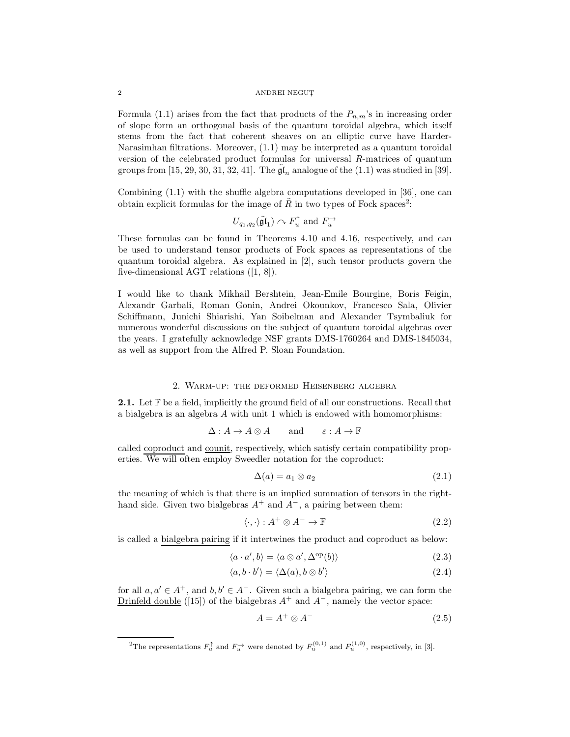Formula (1.1) arises from the fact that products of the  $P_{n,m}$ 's in increasing order of slope form an orthogonal basis of the quantum toroidal algebra, which itself stems from the fact that coherent sheaves on an elliptic curve have Harder-Narasimhan filtrations. Moreover, (1.1) may be interpreted as a quantum toroidal version of the celebrated product formulas for universal R-matrices of quantum groups from [15, 29, 30, 31, 32, 41]. The  $\mathfrak{gl}_n$  analogue of the (1.1) was studied in [39].

Combining (1.1) with the shuffle algebra computations developed in [36], one can obtain explicit formulas for the image of  $R$  in two types of Fock spaces<sup>2</sup>:

$$
U_{q_1,q_2}(\ddot{\mathfrak{gl}}_1) \cap F_u^{\uparrow}
$$
 and  $F_u^{\rightarrow}$ 

These formulas can be found in Theorems 4.10 and 4.16, respectively, and can be used to understand tensor products of Fock spaces as representations of the quantum toroidal algebra. As explained in [2], such tensor products govern the five-dimensional AGT relations ([1, 8]).

I would like to thank Mikhail Bershtein, Jean-Emile Bourgine, Boris Feigin, Alexandr Garbali, Roman Gonin, Andrei Okounkov, Francesco Sala, Olivier Schiffmann, Junichi Shiarishi, Yan Soibelman and Alexander Tsymbaliuk for numerous wonderful discussions on the subject of quantum toroidal algebras over the years. I gratefully acknowledge NSF grants DMS-1760264 and DMS-1845034, as well as support from the Alfred P. Sloan Foundation.

### 2. Warm-up: the deformed Heisenberg algebra

**2.1.** Let  $\mathbb{F}$  be a field, implicitly the ground field of all our constructions. Recall that a bialgebra is an algebra A with unit 1 which is endowed with homomorphisms:

$$
\Delta: A \to A \otimes A \quad \text{and} \quad \varepsilon: A \to \mathbb{F}
$$

called coproduct and counit, respectively, which satisfy certain compatibility properties. We will often employ Sweedler notation for the coproduct:

$$
\Delta(a) = a_1 \otimes a_2 \tag{2.1}
$$

the meaning of which is that there is an implied summation of tensors in the righthand side. Given two bialgebras  $A^+$  and  $A^-$ , a pairing between them:

$$
\langle \cdot, \cdot \rangle : A^+ \otimes A^- \to \mathbb{F} \tag{2.2}
$$

is called a bialgebra pairing if it intertwines the product and coproduct as below:

$$
\langle a \cdot a', b \rangle = \langle a \otimes a', \Delta^{\mathrm{op}}(b) \rangle \tag{2.3}
$$

$$
\langle a, b \cdot b' \rangle = \langle \Delta(a), b \otimes b' \rangle \tag{2.4}
$$

for all  $a, a' \in A^+$ , and  $b, b' \in A^-$ . Given such a bialgebra pairing, we can form the Drinfeld double ([15]) of the bialgebras  $A^+$  and  $A^-$ , namely the vector space:

$$
A = A^+ \otimes A^- \tag{2.5}
$$

<sup>&</sup>lt;sup>2</sup>The representations  $F_u^{\uparrow}$  and  $F_u^{\rightarrow}$  were denoted by  $F_u^{(0,1)}$  and  $F_u^{(1,0)}$ , respectively, in [3].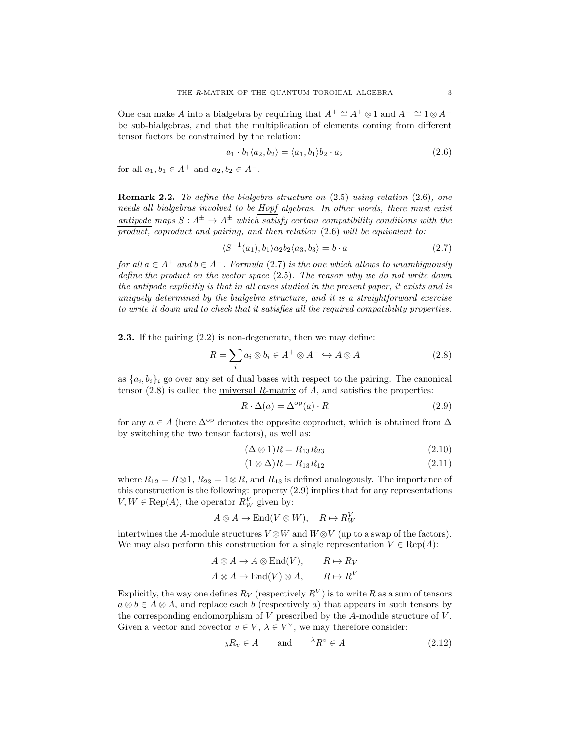One can make A into a bialgebra by requiring that  $A^+ \cong A^+ \otimes 1$  and  $A^- \cong 1 \otimes A^$ be sub-bialgebras, and that the multiplication of elements coming from different tensor factors be constrained by the relation:

$$
a_1 \cdot b_1 \langle a_2, b_2 \rangle = \langle a_1, b_1 \rangle b_2 \cdot a_2 \tag{2.6}
$$

for all  $a_1, b_1 \in A^+$  and  $a_2, b_2 \in A^-$ .

**Remark 2.2.** To define the bialgebra structure on  $(2.5)$  using relation  $(2.6)$ , one needs all bialgebras involved to be Hopf algebras. In other words, there must exist antipode maps  $S: A^{\pm} \to A^{\pm}$  which satisfy certain compatibility conditions with the product, coproduct and pairing, and then relation  $(2.6)$  will be equivalent to:

$$
\langle S^{-1}(a_1), b_1 \rangle a_2 b_2 \langle a_3, b_3 \rangle = b \cdot a \tag{2.7}
$$

for all  $a \in A^+$  and  $b \in A^-$ . Formula (2.7) is the one which allows to unambiguously define the product on the vector space (2.5). The reason why we do not write down the antipode explicitly is that in all cases studied in the present paper, it exists and is uniquely determined by the bialgebra structure, and it is a straightforward exercise to write it down and to check that it satisfies all the required compatibility properties.

2.3. If the pairing (2.2) is non-degenerate, then we may define:

$$
R = \sum_{i} a_i \otimes b_i \in A^+ \otimes A^- \hookrightarrow A \otimes A \tag{2.8}
$$

as  $\{a_i, b_i\}_i$  go over any set of dual bases with respect to the pairing. The canonical tensor  $(2.8)$  is called the universal R-matrix of A, and satisfies the properties:

$$
R \cdot \Delta(a) = \Delta^{\text{op}}(a) \cdot R \tag{2.9}
$$

for any  $a \in A$  (here  $\Delta^{op}$  denotes the opposite coproduct, which is obtained from  $\Delta$ by switching the two tensor factors), as well as:

$$
(\Delta \otimes 1)R = R_{13}R_{23} \tag{2.10}
$$

$$
(1 \otimes \Delta)R = R_{13}R_{12} \tag{2.11}
$$

where  $R_{12} = R \otimes 1$ ,  $R_{23} = 1 \otimes R$ , and  $R_{13}$  is defined analogously. The importance of this construction is the following: property (2.9) implies that for any representations  $V, W \in \text{Rep}(A)$ , the operator  $R_W^V$  given by:

$$
A \otimes A \to \text{End}(V \otimes W), \quad R \mapsto R_W^V
$$

intertwines the A-module structures  $V \otimes W$  and  $W \otimes V$  (up to a swap of the factors). We may also perform this construction for a single representation  $V \in \text{Rep}(A)$ :

$$
A \otimes A \to A \otimes \text{End}(V), \qquad R \mapsto R_V
$$
  
 $A \otimes A \to \text{End}(V) \otimes A, \qquad R \mapsto R^V$ 

Explicitly, the way one defines  $R_V$  (respectively  $R^V$ ) is to write R as a sum of tensors  $a \otimes b \in A \otimes A$ , and replace each b (respectively a) that appears in such tensors by the corresponding endomorphism of  $V$  prescribed by the A-module structure of  $V$ . Given a vector and covector  $v \in V$ ,  $\lambda \in V^{\vee}$ , we may therefore consider:

$$
\lambda R_v \in A \qquad \text{and} \qquad ^{\lambda} R^v \in A \tag{2.12}
$$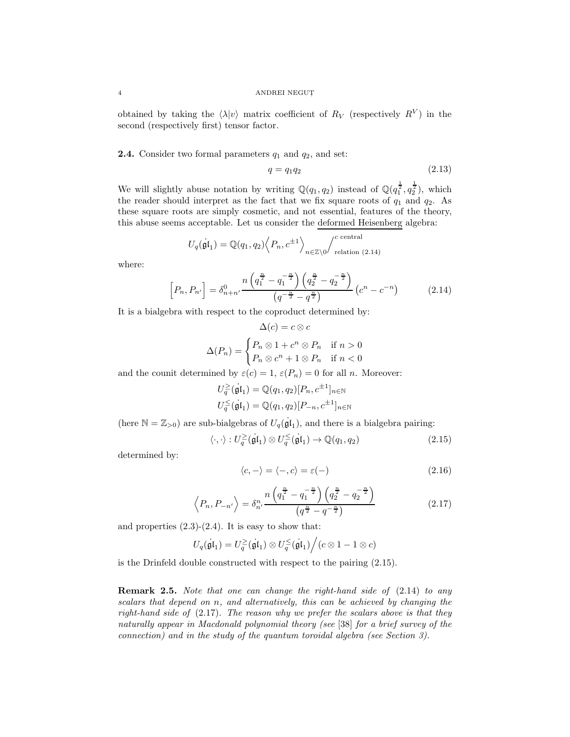obtained by taking the  $\langle \lambda | v \rangle$  matrix coefficient of  $R_V$  (respectively  $R^V$ ) in the second (respectively first) tensor factor.

## **2.4.** Consider two formal parameters  $q_1$  and  $q_2$ , and set:

$$
q = q_1 q_2 \tag{2.13}
$$

We will slightly abuse notation by writing  $\mathbb{Q}(q_1, q_2)$  instead of  $\mathbb{Q}(q_1^{\frac{1}{2}}, q_2^{\frac{1}{2}})$ , which the reader should interpret as the fact that we fix square roots of  $q_1$  and  $q_2$ . As these square roots are simply cosmetic, and not essential, features of the theory, this abuse seems acceptable. Let us consider the deformed Heisenberg algebra:

$$
U_q(\mathfrak{gl}_1) = \mathbb{Q}(q_1, q_2) \left\langle P_n, c^{\pm 1} \right\rangle_{n \in \mathbb{Z} \setminus 0} \left\langle c^{\text{ central}}_{\text{relation (2.14)}}
$$

where:

$$
\[P_n, P_{n'}\] = \delta_{n+n'}^0 \frac{n\left(q_1^{\frac{n}{2}} - q_1^{-\frac{n}{2}}\right)\left(q_2^{\frac{n}{2}} - q_2^{-\frac{n}{2}}\right)}{\left(q^{-\frac{n}{2}} - q^{\frac{n}{2}}\right)} \left(c^n - c^{-n}\right) \tag{2.14}
$$

It is a bialgebra with respect to the coproduct determined by:

$$
\Delta(c) = c \otimes c
$$

$$
\Delta(P_n) = \begin{cases} P_n \otimes 1 + c^n \otimes P_n & \text{if } n > 0 \\ P_n \otimes c^n + 1 \otimes P_n & \text{if } n < 0 \end{cases}
$$

and the counit determined by  $\varepsilon(c) = 1$ ,  $\varepsilon(P_n) = 0$  for all *n*. Moreover:

$$
U_q^{\geq}(\mathfrak{gl}_1) = \mathbb{Q}(q_1, q_2)[P_n, c^{\pm 1}]_{n \in \mathbb{N}}
$$
  

$$
U_q^{\leq}(\mathfrak{gl}_1) = \mathbb{Q}(q_1, q_2)[P_{-n}, c^{\pm 1}]_{n \in \mathbb{N}}
$$

(here  $\mathbb{N} = \mathbb{Z}_{>0}$ ) are sub-bialgebras of  $U_q(\mathfrak{gl}_1)$ , and there is a bialgebra pairing:

$$
\langle \cdot, \cdot \rangle : U_q^{\geq}(\mathfrak{gl}_1) \otimes U_q^{\leq}(\mathfrak{gl}_1) \to \mathbb{Q}(q_1, q_2) \tag{2.15}
$$

determined by:

$$
\langle c, - \rangle = \langle -, c \rangle = \varepsilon(-) \tag{2.16}
$$

$$
\left\langle P_n, P_{-n'} \right\rangle = \delta_{n'}^n \frac{n \left( q_1^{\frac{n}{2}} - q_1^{-\frac{n}{2}} \right) \left( q_2^{\frac{n}{2}} - q_2^{-\frac{n}{2}} \right)}{\left( q^{\frac{n}{2}} - q^{-\frac{n}{2}} \right)} \tag{2.17}
$$

and properties  $(2.3)-(2.4)$ . It is easy to show that:

$$
U_q(\dot{\mathfrak{gl}}_1)=U_q^{\geq}(\dot{\mathfrak{gl}}_1)\otimes U_q^{\leq}(\dot{\mathfrak{gl}}_1)\Big/ (c\otimes 1-1\otimes c)
$$

is the Drinfeld double constructed with respect to the pairing (2.15).

**Remark 2.5.** Note that one can change the right-hand side of  $(2.14)$  to any scalars that depend on n, and alternatively, this can be achieved by changing the right-hand side of  $(2.17)$ . The reason why we prefer the scalars above is that they naturally appear in Macdonald polynomial theory (see [38] for a brief survey of the connection) and in the study of the quantum toroidal algebra (see Section 3).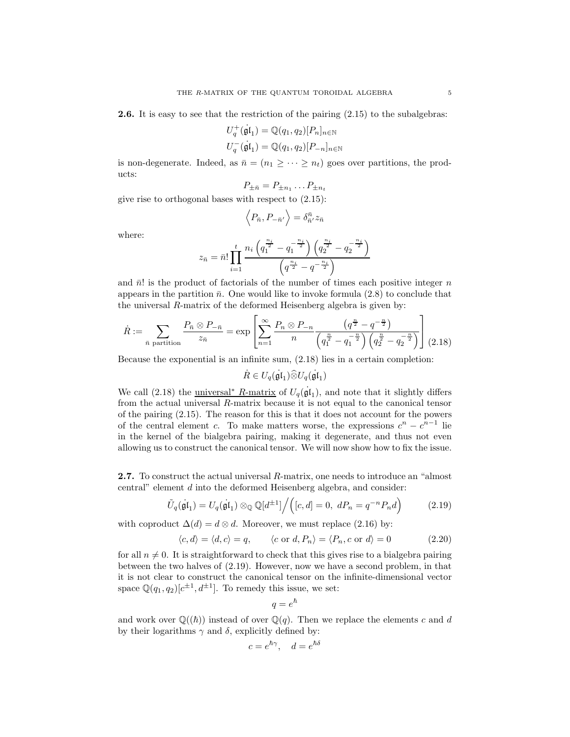2.6. It is easy to see that the restriction of the pairing  $(2.15)$  to the subalgebras:

$$
U_q^+(\mathfrak{gl}_1) = \mathbb{Q}(q_1, q_2)[P_n]_{n \in \mathbb{N}}
$$
  

$$
U_q^-(\mathfrak{gl}_1) = \mathbb{Q}(q_1, q_2)[P_{-n}]_{n \in \mathbb{N}}
$$

is non-degenerate. Indeed, as  $\bar{n} = (n_1 \geq \cdots \geq n_t)$  goes over partitions, the products:

$$
P_{\pm \bar{n}} = P_{\pm n_1} \dots P_{\pm n_t}
$$

give rise to orthogonal bases with respect to (2.15):

$$
\left\langle P_{\bar{n}},P_{-\bar{n}'}\right\rangle =\delta^{\bar{n}}_{\bar{n}'}z_{\bar{n}}
$$

where:

$$
z_{\bar{n}} = \bar{n}! \prod_{i=1}^{t} \frac{n_i \left( q_1^{\frac{n_i}{2}} - q_1^{-\frac{n_i}{2}} \right) \left( q_2^{\frac{n_i}{2}} - q_2^{-\frac{n_i}{2}} \right)}{\left( q^{\frac{n_i}{2}} - q^{-\frac{n_i}{2}} \right)}
$$

and  $\bar{n}!$  is the product of factorials of the number of times each positive integer n appears in the partition  $\bar{n}$ . One would like to invoke formula (2.8) to conclude that the universal R-matrix of the deformed Heisenberg algebra is given by:

$$
\dot{R} := \sum_{\bar{n} \text{ partition}} \frac{P_{\bar{n}} \otimes P_{-\bar{n}}}{z_{\bar{n}}} = \exp\left[\sum_{n=1}^{\infty} \frac{P_n \otimes P_{-n}}{n} \frac{\left(q^{\frac{n}{2}} - q^{-\frac{n}{2}}\right)}{\left(q_1^{\frac{n}{2}} - q_1^{-\frac{n}{2}}\right)\left(q_2^{\frac{n}{2}} - q_2^{-\frac{n}{2}}\right)}\right] (2.18)
$$

Because the exponential is an infinite sum, (2.18) lies in a certain completion:

 $\dot{R} \in U_q(\dot{\mathfrak{gl}}_1) \widehat{\otimes} U_q(\dot{\mathfrak{gl}}_1)$ 

We call (2.18) the <u>universal<sup>∗</sup> R-matrix</u> of  $U_q(\mathfrak{gl}_1)$ , and note that it slightly differs from the actual universal R-matrix because it is not equal to the canonical tensor of the pairing (2.15). The reason for this is that it does not account for the powers of the central element c. To make matters worse, the expressions  $c^n - c^{n-1}$  lie in the kernel of the bialgebra pairing, making it degenerate, and thus not even allowing us to construct the canonical tensor. We will now show how to fix the issue.

2.7. To construct the actual universal R-matrix, one needs to introduce an "almost central" element d into the deformed Heisenberg algebra, and consider:

$$
\tilde{U}_q(\mathfrak{gl}_1) = U_q(\mathfrak{gl}_1) \otimes \mathbb{Q} \mathbb{Q}[d^{\pm 1}]\Big/ \Big([c,d] = 0, \ dP_n = q^{-n}P_n d\Big) \tag{2.19}
$$

with coproduct  $\Delta(d) = d \otimes d$ . Moreover, we must replace (2.16) by:

$$
\langle c, d \rangle = \langle d, c \rangle = q, \qquad \langle c \text{ or } d, P_n \rangle = \langle P_n, c \text{ or } d \rangle = 0 \tag{2.20}
$$

for all  $n \neq 0$ . It is straightforward to check that this gives rise to a bialgebra pairing between the two halves of (2.19). However, now we have a second problem, in that it is not clear to construct the canonical tensor on the infinite-dimensional vector space  $\mathbb{Q}(q_1, q_2)[c^{\pm 1}, d^{\pm 1}]$ . To remedy this issue, we set:

$$
q=e^{\hbar}
$$

and work over  $\mathbb{Q}((\hbar))$  instead of over  $\mathbb{Q}(q)$ . Then we replace the elements c and d by their logarithms  $\gamma$  and  $\delta$ , explicitly defined by:

$$
c = e^{\hbar \gamma}, \quad d = e^{\hbar \delta}
$$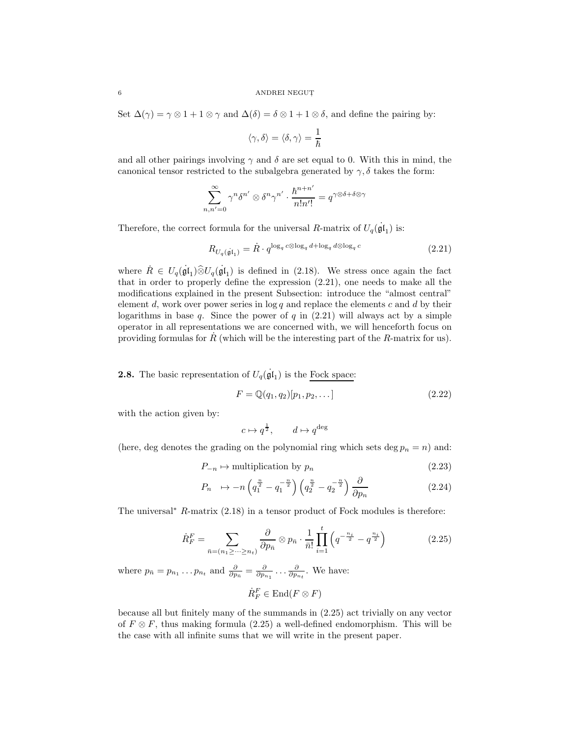Set  $\Delta(\gamma) = \gamma \otimes 1 + 1 \otimes \gamma$  and  $\Delta(\delta) = \delta \otimes 1 + 1 \otimes \delta$ , and define the pairing by:

$$
\langle \gamma, \delta \rangle = \langle \delta, \gamma \rangle = \frac{1}{\hbar}
$$

and all other pairings involving  $\gamma$  and  $\delta$  are set equal to 0. With this in mind, the canonical tensor restricted to the subalgebra generated by  $\gamma$ ,  $\delta$  takes the form:

$$
\sum_{n,n'=0}^{\infty} \gamma^n \delta^{n'} \otimes \delta^n \gamma^{n'} \cdot \frac{\hbar^{n+n'}}{n!n'!} = q^{\gamma \otimes \delta + \delta \otimes \gamma}
$$

Therefore, the correct formula for the universal R-matrix of  $U_q(\dot{\mathfrak{gl}}_1)$  is:

$$
R_{U_q(\dot{\mathfrak{gl}}_1)} = \dot{R} \cdot q^{\log_q c \otimes \log_q d + \log_q d \otimes \log_q c} \tag{2.21}
$$

where  $R \in U_q(\mathfrak{gl}_1) \widehat{\otimes} U_q(\mathfrak{gl}_1)$  is defined in (2.18). We stress once again the fact that in order to properly define the expression (2.21), one needs to make all the modifications explained in the present Subsection: introduce the "almost central" element d, work over power series in  $\log q$  and replace the elements c and d by their logarithms in base  $q$ . Since the power of  $q$  in  $(2.21)$  will always act by a simple operator in all representations we are concerned with, we will henceforth focus on providing formulas for  $\dot{R}$  (which will be the interesting part of the  $R$ -matrix for us).

**2.8.** The basic representation of  $U_q(\mathfrak{gl}_1)$  is the Fock space:

$$
F = \mathbb{Q}(q_1, q_2)[p_1, p_2, \dots] \tag{2.22}
$$

with the action given by:

$$
c\mapsto q^{\frac{1}{2}},\qquad d\mapsto q^{\deg}
$$

(here, deg denotes the grading on the polynomial ring which sets deg  $p_n = n$ ) and:

$$
P_{-n} \mapsto \text{multiplication by } p_n \tag{2.23}
$$

$$
P_n \to -n\left(q_1^{\frac{n}{2}} - q_1^{-\frac{n}{2}}\right)\left(q_2^{\frac{n}{2}} - q_2^{-\frac{n}{2}}\right)\frac{\partial}{\partial p_n} \tag{2.24}
$$

The universal<sup>∗</sup> R-matrix (2.18) in a tensor product of Fock modules is therefore:

$$
\dot{R}_F^F = \sum_{\bar{n}=(n_1 \geq \dots \geq n_t)} \frac{\partial}{\partial p_{\bar{n}}} \otimes p_{\bar{n}} \cdot \frac{1}{\bar{n}!} \prod_{i=1}^t \left( q^{-\frac{n_i}{2}} - q^{\frac{n_i}{2}} \right) \tag{2.25}
$$

where  $p_{\bar{n}} = p_{n_1} \dots p_{n_t}$  and  $\frac{\partial}{\partial p_{\bar{n}}} = \frac{\partial}{\partial p_{n_1}} \dots \frac{\partial}{\partial p_{n_t}}$ . We have:

$$
\dot{R}_F^F\in \mathrm{End}(F\otimes F)
$$

because all but finitely many of the summands in (2.25) act trivially on any vector of  $F \otimes F$ , thus making formula (2.25) a well-defined endomorphism. This will be the case with all infinite sums that we will write in the present paper.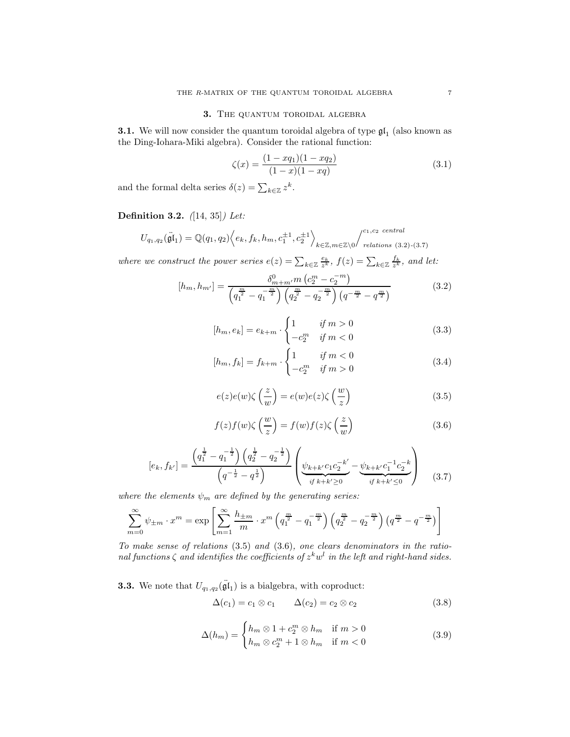## 3. THE QUANTUM TOROIDAL ALGEBRA

**3.1.** We will now consider the quantum toroidal algebra of type  $\mathfrak{gl}_1$  (also known as the Ding-Iohara-Miki algebra). Consider the rational function:

$$
\zeta(x) = \frac{(1 - xq_1)(1 - xq_2)}{(1 - x)(1 - xq)}\tag{3.1}
$$

and the formal delta series  $\delta(z) = \sum_{k \in \mathbb{Z}} z^k$ .

## Definition 3.2. ([14, 35]) Let:

$$
U_{q_1,q_2}(\mathbf{\ddot{gl}}_1) = \mathbb{Q}(q_1,q_2) \Big\langle e_k, f_k, h_m, c_1^{\pm 1}, c_2^{\pm 1} \Big\rangle_{k \in \mathbb{Z}, m \in \mathbb{Z} \setminus 0} \Big/ \bigg\langle c_1, c_2 \text{ central} \atop \text{relations } (3.2)-(3.7)}
$$

where we construct the power series  $e(z) = \sum_{k \in \mathbb{Z}} \frac{e_k}{z^k}$ ,  $f(z) = \sum_{k \in \mathbb{Z}} \frac{f_k}{z^k}$ , and let:

$$
[h_m, h_{m'}] = \frac{\delta_{m+m'}^0 m \left(c_2^m - c_2^{-m}\right)}{\left(q_1^{\frac{m}{2}} - q_1^{-\frac{m}{2}}\right) \left(q_2^{\frac{m}{2}} - q_2^{-\frac{m}{2}}\right) \left(q^{-\frac{m}{2}} - q^{\frac{m}{2}}\right)}
$$
(3.2)

$$
[h_m, e_k] = e_{k+m} \cdot \begin{cases} 1 & \text{if } m > 0 \\ -c_2^m & \text{if } m < 0 \end{cases}
$$
 (3.3)

$$
[h_m, f_k] = f_{k+m} \cdot \begin{cases} 1 & \text{if } m < 0\\ -c_2^m & \text{if } m > 0 \end{cases}
$$
 (3.4)

$$
e(z)e(w)\zeta\left(\frac{z}{w}\right) = e(w)e(z)\zeta\left(\frac{w}{z}\right)
$$
\n(3.5)

$$
f(z)f(w)\zeta\left(\frac{w}{z}\right) = f(w)f(z)\zeta\left(\frac{z}{w}\right)
$$
\n(3.6)

$$
[e_k, f_{k'}] = \frac{\left(q_1^{\frac{1}{2}} - q_1^{-\frac{1}{2}}\right)\left(q_2^{\frac{1}{2}} - q_2^{-\frac{1}{2}}\right)}{\left(q^{-\frac{1}{2}} - q^{\frac{1}{2}}\right)} \left(\underbrace{\psi_{k+k'}c_1c_2^{-k'}}_{if \ k+k' \ge 0} - \underbrace{\psi_{k+k'}c_1^{-1}c_2^{-k}}_{if \ k+k' \le 0}\right) \tag{3.7}
$$

where the elements  $\psi_m$  are defined by the generating series:

$$
\sum_{m=0}^{\infty} \psi_{\pm m} \cdot x^m = \exp \left[ \sum_{m=1}^{\infty} \frac{h_{\pm m}}{m} \cdot x^m \left( q_1^{\frac{m}{2}} - q_1^{-\frac{m}{2}} \right) \left( q_2^{\frac{m}{2}} - q_2^{-\frac{m}{2}} \right) \left( q^{\frac{m}{2}} - q^{-\frac{m}{2}} \right) \right]
$$

To make sense of relations  $(3.5)$  and  $(3.6)$ , one clears denominators in the rational functions  $\zeta$  and identifies the coefficients of  $z^k w^l$  in the left and right-hand sides.

**3.3.** We note that  $U_{q_1,q_2}(\tilde{\mathfrak{gl}}_1)$  is a bialgebra, with coproduct:

$$
\Delta(c_1) = c_1 \otimes c_1 \qquad \Delta(c_2) = c_2 \otimes c_2 \tag{3.8}
$$

$$
\Delta(h_m) = \begin{cases} h_m \otimes 1 + c_2^m \otimes h_m & \text{if } m > 0 \\ h_m \otimes c_2^m + 1 \otimes h_m & \text{if } m < 0 \end{cases}
$$
 (3.9)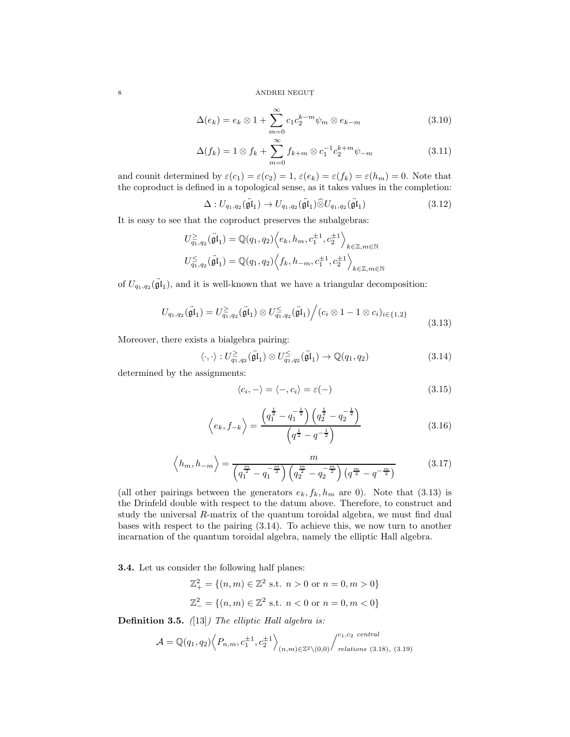$$
\Delta(e_k) = e_k \otimes 1 + \sum_{m=0}^{\infty} c_1 c_2^{k-m} \psi_m \otimes e_{k-m}
$$
\n(3.10)

$$
\Delta(f_k) = 1 \otimes f_k + \sum_{m=0}^{\infty} f_{k+m} \otimes c_1^{-1} c_2^{k+m} \psi_{-m}
$$
 (3.11)

and counit determined by  $\varepsilon(c_1) = \varepsilon(c_2) = 1$ ,  $\varepsilon(e_k) = \varepsilon(f_k) = \varepsilon(h_m) = 0$ . Note that the coproduct is defined in a topological sense, as it takes values in the completion:

$$
\Delta: U_{q_1,q_2}(\ddot{\mathfrak{gl}}_1) \to U_{q_1,q_2}(\ddot{\mathfrak{gl}}_1) \widehat{\otimes} U_{q_1,q_2}(\ddot{\mathfrak{gl}}_1) \tag{3.12}
$$

It is easy to see that the coproduct preserves the subalgebras:

$$
\begin{split} U^{\geq}_{q_1,q_2}(\ddot{\mathfrak{g}}\mathfrak{l}_1) &= \mathbb{Q}(q_1,q_2) \Big\langle e_k, h_m, c_1^{\pm 1}, c_2^{\pm 1} \Big\rangle_{k \in \mathbb{Z}, m \in \mathbb{N}} \\ U^{\leq}_{q_1,q_2}(\ddot{\mathfrak{g}}\mathfrak{l}_1) &= \mathbb{Q}(q_1,q_2) \Big\langle f_k, h_{-m}, c_1^{\pm 1}, c_2^{\pm 1} \Big\rangle_{k \in \mathbb{Z}, m \in \mathbb{N}} \end{split}
$$

of  $U_{q_1,q_2}(\ddot{\mathfrak{gl}}_1)$ , and it is well-known that we have a triangular decomposition:

$$
U_{q_1,q_2}(\ddot{\mathfrak{gl}}_1) = U_{q_1,q_2}^{\geq}(\ddot{\mathfrak{gl}}_1) \otimes U_{q_1,q_2}^{\leq}(\ddot{\mathfrak{gl}}_1) \Big/ (c_i \otimes 1 - 1 \otimes c_i)_{i \in \{1,2\}}
$$
\n(3.13)

Moreover, there exists a bialgebra pairing:

$$
\langle \cdot, \cdot \rangle : U_{q_1, q_2}^{\geq}(\ddot{\mathfrak{gl}}_1) \otimes U_{q_1, q_2}^{\leq}(\ddot{\mathfrak{gl}}_1) \to \mathbb{Q}(q_1, q_2)
$$
\n(3.14)

determined by the assignments:

$$
\langle c_i, - \rangle = \langle -, c_i \rangle = \varepsilon(-) \tag{3.15}
$$

$$
\left\langle e_k, f_{-k} \right\rangle = \frac{\left( q_1^{\frac{1}{2}} - q_1^{-\frac{1}{2}} \right) \left( q_2^{\frac{1}{2}} - q_2^{-\frac{1}{2}} \right)}{\left( q^{\frac{1}{2}} - q^{-\frac{1}{2}} \right)}
$$
(3.16)

$$
\left\langle h_m, h_{-m} \right\rangle = \frac{m}{\left(q_1^{\frac{m}{2}} - q_1^{-\frac{m}{2}}\right) \left(q_2^{\frac{m}{2}} - q_2^{-\frac{m}{2}}\right) \left(q^{\frac{m}{2}} - q^{-\frac{m}{2}}\right)}\tag{3.17}
$$

(all other pairings between the generators  $e_k, f_k, h_m$  are 0). Note that (3.13) is the Drinfeld double with respect to the datum above. Therefore, to construct and study the universal R-matrix of the quantum toroidal algebra, we must find dual bases with respect to the pairing (3.14). To achieve this, we now turn to another incarnation of the quantum toroidal algebra, namely the elliptic Hall algebra.

3.4. Let us consider the following half planes:

$$
\mathbb{Z}_{+}^{2} = \{(n, m) \in \mathbb{Z}^{2} \text{ s.t. } n > 0 \text{ or } n = 0, m > 0\}
$$
  

$$
\mathbb{Z}_{-}^{2} = \{(n, m) \in \mathbb{Z}^{2} \text{ s.t. } n < 0 \text{ or } n = 0, m < 0\}
$$

**Definition 3.5.** ([13]) The elliptic Hall algebra is:

$$
\mathcal{A} = \mathbb{Q}(q_1, q_2) \left\langle P_{n,m}, c_1^{\pm 1}, c_2^{\pm 1} \right\rangle_{(n,m) \in \mathbb{Z}^2 \setminus (0,0)} / \int_{\text{relations (3.18), (3.19)}}^{c_1, c_2 \text{ central}}
$$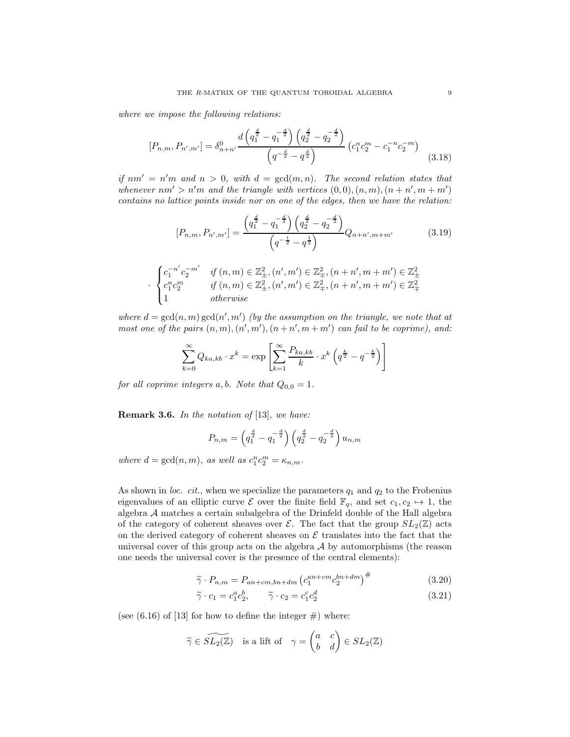where we impose the following relations:

$$
[P_{n,m}, P_{n',m'}] = \delta_{n+n'}^0 \frac{d\left(q_1^{\frac{d}{2}} - q_1^{-\frac{d}{2}}\right)\left(q_2^{\frac{d}{2}} - q_2^{-\frac{d}{2}}\right)}{\left(q^{-\frac{d}{2}} - q^{\frac{d}{2}}\right)} \left(c_1^n c_2^m - c_1^{-n} c_2^{-m}\right)
$$
(3.18)

if  $nm' = n'm$  and  $n > 0$ , with  $d = \gcd(m, n)$ . The second relation states that whenever  $nm' > n'm$  and the triangle with vertices  $(0,0), (n,m), (n+n', m+m')$ contains no lattice points inside nor on one of the edges, then we have the relation:

$$
[P_{n,m}, P_{n',m'}] = \frac{\left(q_1^{\frac{d}{2}} - q_1^{-\frac{d}{2}}\right)\left(q_2^{\frac{d}{2}} - q_2^{-\frac{d}{2}}\right)}{\left(q^{-\frac{1}{2}} - q^{\frac{1}{2}}\right)} Q_{n+n',m+m'}
$$
(3.19)

$$
\cdot \begin{cases} c_1^{-n'}c_2^{-m'} & \text{if } (n,m) \in \mathbb{Z}_{\pm}^2, (n',m') \in \mathbb{Z}_{\mp}^2, (n+n',m+m') \in \mathbb{Z}_{\pm}^2 \\ c_1^n c_2^m & \text{if } (n,m) \in \mathbb{Z}_{\pm}^2, (n',m') \in \mathbb{Z}_{\mp}^2, (n+n',m+m') \in \mathbb{Z}_{\mp}^2 \\ 1 & \text{otherwise} \end{cases}
$$

where  $d = \gcd(n, m) \gcd(n', m')$  (by the assumption on the triangle, we note that at most one of the pairs  $(n, m), (n', m'), (n + n', m + m')$  can fail to be coprime), and:

$$
\sum_{k=0}^{\infty} Q_{ka,kb} \cdot x^k = \exp \left[ \sum_{k=1}^{\infty} \frac{P_{ka,kb}}{k} \cdot x^k \left( q^{\frac{k}{2}} - q^{-\frac{k}{2}} \right) \right]
$$

for all coprime integers a, b. Note that  $Q_{0,0} = 1$ .

Remark 3.6. In the notation of [13], we have:

$$
P_{n,m} = \left(q_1^{\frac{d}{2}} - q_1^{-\frac{d}{2}}\right) \left(q_2^{\frac{d}{2}} - q_2^{-\frac{d}{2}}\right) u_{n,m}
$$

where  $d = \gcd(n, m)$ , as well as  $c_1^n c_2^m = \kappa_{n,m}$ .

As shown in loc. cit., when we specialize the parameters  $q_1$  and  $q_2$  to the Frobenius eigenvalues of an elliptic curve  $\mathcal E$  over the finite field  $\mathbb F_q$ , and set  $c_1, c_2 \mapsto 1$ , the algebra A matches a certain subalgebra of the Drinfeld double of the Hall algebra of the category of coherent sheaves over  $\mathcal{E}$ . The fact that the group  $SL_2(\mathbb{Z})$  acts on the derived category of coherent sheaves on  $\mathcal E$  translates into the fact that the universal cover of this group acts on the algebra  $A$  by automorphisms (the reason one needs the universal cover is the presence of the central elements):

$$
\widetilde{\gamma} \cdot P_{n,m} = P_{an+cm,bn+dm} \left( c_1^{an+cm} c_2^{bn+dm} \right)^{\#} \tag{3.20}
$$

$$
\widetilde{\gamma} \cdot c_1 = c_1^a c_2^b, \qquad \widetilde{\gamma} \cdot c_2 = c_1^c c_2^d \tag{3.21}
$$

(see  $(6.16)$  of [13] for how to define the integer  $\#$ ) where:

$$
\widetilde{\gamma} \in \widetilde{SL_2(\mathbb{Z})} \quad \text{is a lift of} \quad \gamma = \begin{pmatrix} a & c \\ b & d \end{pmatrix} \in SL_2(\mathbb{Z})
$$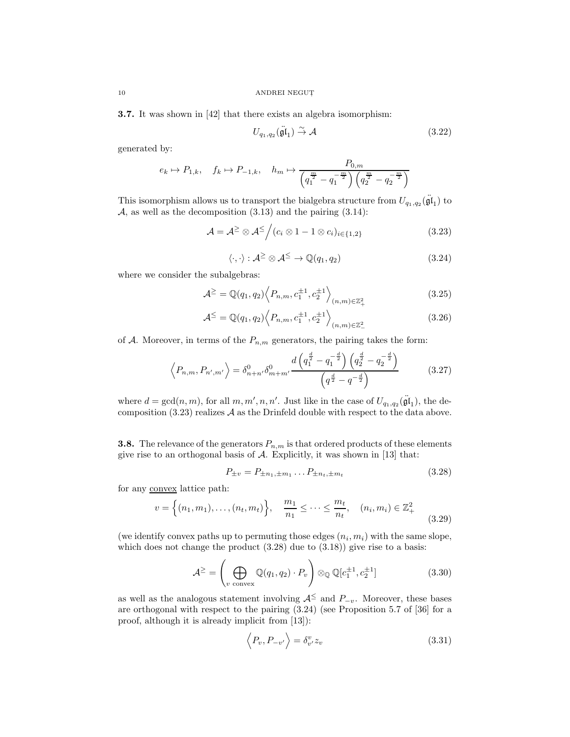3.7. It was shown in [42] that there exists an algebra isomorphism:

$$
U_{q_1,q_2}(\ddot{\mathfrak{gl}}_1) \stackrel{\sim}{\to} \mathcal{A} \tag{3.22}
$$

generated by:

$$
e_k \mapsto P_{1,k}, \quad f_k \mapsto P_{-1,k}, \quad h_m \mapsto \frac{P_{0,m}}{\left(q_1^{\frac{m}{2}} - q_1^{-\frac{m}{2}}\right)\left(q_2^{\frac{m}{2}} - q_2^{-\frac{m}{2}}\right)}
$$

This isomorphism allows us to transport the bialgebra structure from  $U_{q_1,q_2}(\ddot{\mathfrak{gl}}_1)$  to  $A$ , as well as the decomposition  $(3.13)$  and the pairing  $(3.14)$ :

$$
\mathcal{A} = \mathcal{A}^{\geq} \otimes \mathcal{A}^{\leq} / (c_i \otimes 1 - 1 \otimes c_i)_{i \in \{1,2\}}
$$
\n(3.23)

$$
\langle \cdot, \cdot \rangle : \mathcal{A}^{\geq} \otimes \mathcal{A}^{\leq} \to \mathbb{Q}(q_1, q_2) \tag{3.24}
$$

where we consider the subalgebras:

$$
\mathcal{A}^{\geq} = \mathbb{Q}(q_1, q_2) \left\langle P_{n,m}, c_1^{\pm 1}, c_2^{\pm 1} \right\rangle_{(n,m) \in \mathbb{Z}_+^2}
$$
(3.25)

$$
\mathcal{A}^{\leq} = \mathbb{Q}(q_1, q_2) \left\langle P_{n,m}, c_1^{\pm 1}, c_2^{\pm 1} \right\rangle_{(n,m) \in \mathbb{Z}_-^2}
$$
(3.26)

of A. Moreover, in terms of the  $P_{n,m}$  generators, the pairing takes the form:

$$
\left\langle P_{n,m}, P_{n',m'} \right\rangle = \delta_{n+n'}^0 \delta_{m+m'}^0 \frac{d\left(q_1^{\frac{d}{2}} - q_1^{-\frac{d}{2}}\right) \left(q_2^{\frac{d}{2}} - q_2^{-\frac{d}{2}}\right)}{\left(q^{\frac{d}{2}} - q^{-\frac{d}{2}}\right)}
$$
(3.27)

where  $d = \gcd(n, m)$ , for all  $m, m', n, n'$ . Just like in the case of  $U_{q_1, q_2}(\ddot{\mathfrak{gl}}_1)$ , the decomposition  $(3.23)$  realizes  $\mathcal A$  as the Drinfeld double with respect to the data above.

**3.8.** The relevance of the generators  $P_{n,m}$  is that ordered products of these elements give rise to an orthogonal basis of  $A$ . Explicitly, it was shown in [13] that:

$$
P_{\pm v} = P_{\pm n_1, \pm m_1} \dots P_{\pm n_t, \pm m_t} \tag{3.28}
$$

for any convex lattice path:

$$
v = \left\{ (n_1, m_1), \dots, (n_t, m_t) \right\}, \quad \frac{m_1}{n_1} \le \dots \le \frac{m_t}{n_t}, \quad (n_i, m_i) \in \mathbb{Z}_+^2 \tag{3.29}
$$

(we identify convex paths up to permuting those edges  $(n_i, m_i)$  with the same slope, which does not change the product  $(3.28)$  due to  $(3.18)$  give rise to a basis:

$$
\mathcal{A}^{\geq} = \left(\bigoplus_{v \text{ convex}} \mathbb{Q}(q_1, q_2) \cdot P_v\right) \otimes_{\mathbb{Q}} \mathbb{Q}[c_1^{\pm 1}, c_2^{\pm 1}]
$$
 (3.30)

as well as the analogous statement involving  $A^{\leq}$  and  $P_{-v}$ . Moreover, these bases are orthogonal with respect to the pairing (3.24) (see Proposition 5.7 of [36] for a proof, although it is already implicit from [13]):

$$
\langle P_v, P_{-v'} \rangle = \delta_{v'}^v z_v \tag{3.31}
$$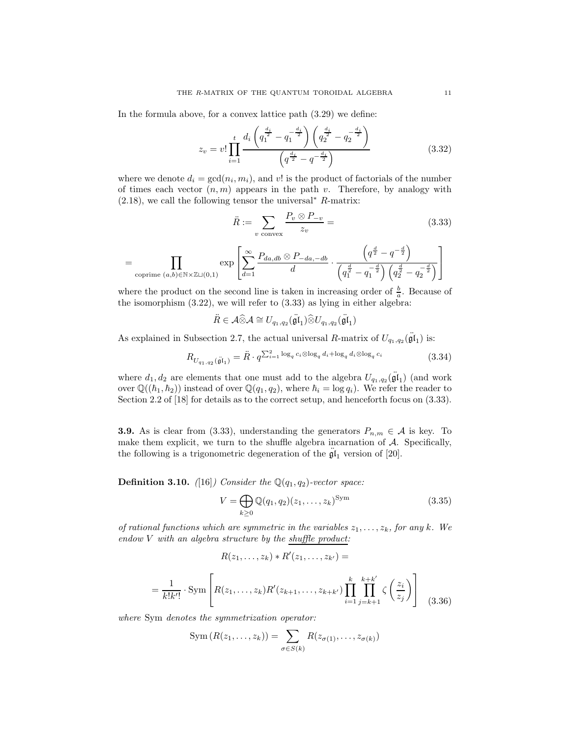In the formula above, for a convex lattice path (3.29) we define:

$$
z_v = v! \prod_{i=1}^t \frac{d_i \left( q_1^{\frac{d_i}{2}} - q_1^{-\frac{d_i}{2}} \right) \left( q_2^{\frac{d_i}{2}} - q_2^{-\frac{d_i}{2}} \right)}{\left( q^{\frac{d_i}{2}} - q^{-\frac{d_i}{2}} \right)}
$$
(3.32)

where we denote  $d_i = \gcd(n_i, m_i)$ , and v! is the product of factorials of the number of times each vector  $(n, m)$  appears in the path v. Therefore, by analogy with  $(2.18)$ , we call the following tensor the universal<sup>∗</sup> R-matrix:

$$
\ddot{R} := \sum_{v \text{ convex}} \frac{P_v \otimes P_{-v}}{z_v} = \tag{3.33}
$$

$$
= \prod_{\text{coprime } (a,b) \in \mathbb{N} \times \mathbb{Z} \sqcup (0,1)} \exp \left[ \sum_{d=1}^{\infty} \frac{P_{da,db} \otimes P_{-da,-db}}{d} \cdot \frac{\left( q^{\frac{d}{2}} - q^{-\frac{d}{2}} \right)}{\left( q_1^{\frac{d}{2}} - q_1^{-\frac{d}{2}} \right) \left( q_2^{\frac{d}{2}} - q_2^{-\frac{d}{2}} \right)} \right]
$$

where the product on the second line is taken in increasing order of  $\frac{b}{a}$ . Because of the isomorphism  $(3.22)$ , we will refer to  $(3.33)$  as lying in either algebra:

$$
\ddot{R} \in \mathcal{A} \widehat{\otimes} \mathcal{A} \cong U_{q_1,q_2}(\ddot{\mathfrak{gl}}_1) \widehat{\otimes} U_{q_1,q_2}(\ddot{\mathfrak{gl}}_1)
$$

As explained in Subsection 2.7, the actual universal R-matrix of  $U_{q_1,q_2}(\ddot{\mathfrak{gl}}_1)$  is:

$$
R_{U_{q_1,q_2}(\ddot{\mathfrak{g}}\mathfrak{l}_1)} = \ddot{R} \cdot q^{\sum_{i=1}^2 \log_q c_i \otimes \log_q d_i + \log_q d_i \otimes \log_q c_i}
$$
\n
$$
(3.34)
$$

where  $d_1, d_2$  are elements that one must add to the algebra  $U_{q_1,q_2}(\ddot{\mathfrak{gl}}_1)$  (and work over  $\mathbb{Q}((\hbar_1, \hbar_2))$  instead of over  $\mathbb{Q}(q_1, q_2)$ , where  $\hbar_i = \log q_i$ . We refer the reader to Section 2.2 of [18] for details as to the correct setup, and henceforth focus on (3.33).

**3.9.** As is clear from (3.33), understanding the generators  $P_{n,m} \in \mathcal{A}$  is key. To make them explicit, we turn to the shuffle algebra incarnation of  $A$ . Specifically, the following is a trigonometric degeneration of the  $\mathfrak{gl}_1$  version of [20].

**Definition 3.10.** ([16]) Consider the  $\mathbb{Q}(q_1, q_2)$ -vector space:

$$
V = \bigoplus_{k \ge 0} \mathbb{Q}(q_1, q_2)(z_1, \dots, z_k)^{\text{Sym}} \tag{3.35}
$$

of rational functions which are symmetric in the variables  $z_1, \ldots, z_k$ , for any k. We endow V with an algebra structure by the shuffle product:

$$
R(z_1,\ldots,z_k)*R'(z_1,\ldots,z_{k'})=
$$

$$
= \frac{1}{k!k'!} \cdot \text{Sym} \left[ R(z_1, \dots, z_k) R'(z_{k+1}, \dots, z_{k+k'}) \prod_{i=1}^k \prod_{j=k+1}^{k+k'} \zeta \left( \frac{z_i}{z_j} \right) \right] \tag{3.36}
$$

where Sym denotes the symmetrization operator:

$$
\operatorname{Sym}\left(R(z_1,\ldots,z_k)\right)=\sum_{\sigma\in S(k)}R(z_{\sigma(1)},\ldots,z_{\sigma(k)})
$$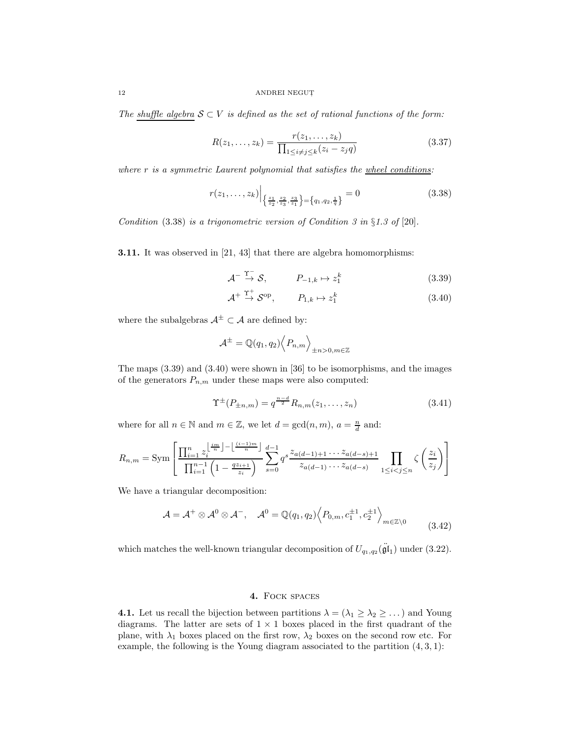The shuffle algebra  $S \subset V$  is defined as the set of rational functions of the form:

$$
R(z_1, ..., z_k) = \frac{r(z_1, ..., z_k)}{\prod_{1 \le i \neq j \le k} (z_i - z_j q)}
$$
(3.37)

where  $r$  is a symmetric Laurent polynomial that satisfies the  $w$ heel conditions:

$$
r(z_1, \ldots, z_k) \Big|_{\left\{\frac{z_1}{z_2}, \frac{z_2}{z_3}, \frac{z_3}{z_1}\right\} = \left\{q_1, q_2, \frac{1}{q}\right\}} = 0
$$
\n(3.38)

Condition  $(3.38)$  is a trigonometric version of Condition 3 in §1.3 of [20].

3.11. It was observed in [21, 43] that there are algebra homomorphisms:

$$
\mathcal{A}^{-} \xrightarrow{\Upsilon^{-}} \mathcal{S}, \qquad P_{-1,k} \mapsto z_1^k \tag{3.39}
$$

$$
\mathcal{A}^+ \stackrel{\Upsilon^+}{\to} \mathcal{S}^{\text{op}}, \qquad P_{1,k} \mapsto z_1^k \tag{3.40}
$$

where the subalgebras  $A^{\pm} \subset A$  are defined by:

$$
\mathcal{A}^{\pm} = \mathbb{Q}(q_1, q_2) \left\langle P_{n,m} \right\rangle_{\pm n > 0, m \in \mathbb{Z}}
$$

The maps (3.39) and (3.40) were shown in [36] to be isomorphisms, and the images of the generators  $P_{n,m}$  under these maps were also computed:

$$
\Upsilon^{\pm}(P_{\pm n,m}) = q^{\frac{n-d}{2}} R_{n,m}(z_1, \dots, z_n)
$$
\n(3.41)

where for all  $n \in \mathbb{N}$  and  $m \in \mathbb{Z}$ , we let  $d = \gcd(n, m)$ ,  $a = \frac{n}{d}$  and:

$$
R_{n,m} = \text{Sym} \left[ \frac{\prod_{i=1}^{n} z_i^{\left \lfloor \frac{im}{n} \right \rfloor - \left \lfloor \frac{(i-1)m}{n} \right \rfloor}}{\prod_{i=1}^{n-1} \left( 1 - \frac{qz_{i+1}}{z_i} \right)} \sum_{s=0}^{d-1} q^s \frac{z_{a(d-1)+1} \cdots z_{a(d-s)+1}}{z_{a(d-1)} \cdots z_{a(d-s)}} \prod_{1 \le i < j \le n} \zeta \left( \frac{z_i}{z_j} \right) \right]
$$

We have a triangular decomposition:

$$
\mathcal{A} = \mathcal{A}^+ \otimes \mathcal{A}^0 \otimes \mathcal{A}^-, \quad \mathcal{A}^0 = \mathbb{Q}(q_1, q_2) \left\langle P_{0,m}, c_1^{\pm 1}, c_2^{\pm 1} \right\rangle_{m \in \mathbb{Z} \setminus 0}
$$
(3.42)

which matches the well-known triangular decomposition of  $U_{q_1,q_2}(\ddot{\mathfrak{gl}}_1)$  under (3.22).

### 4. Fock spaces

**4.1.** Let us recall the bijection between partitions  $\lambda = (\lambda_1 \geq \lambda_2 \geq \dots)$  and Young diagrams. The latter are sets of  $1 \times 1$  boxes placed in the first quadrant of the plane, with  $\lambda_1$  boxes placed on the first row,  $\lambda_2$  boxes on the second row etc. For example, the following is the Young diagram associated to the partition  $(4, 3, 1)$ :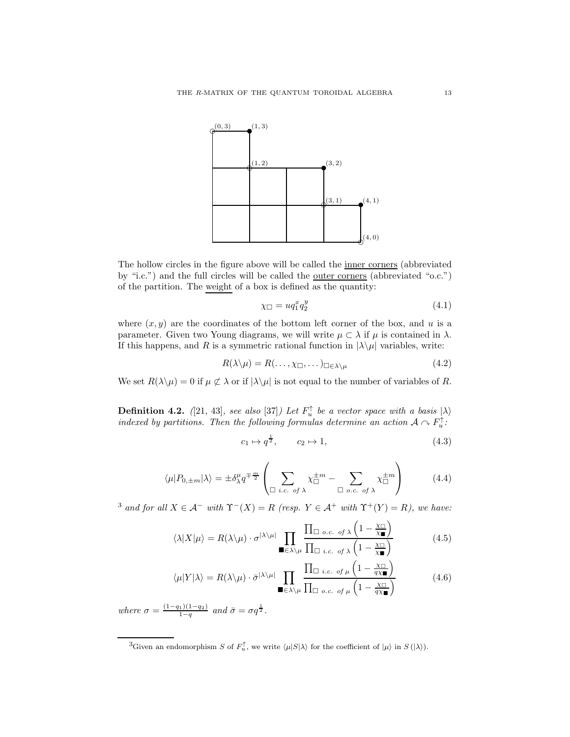

The hollow circles in the figure above will be called the inner corners (abbreviated by "i.c.") and the full circles will be called the outer corners (abbreviated "o.c.") of the partition. The weight of a box is defined as the quantity:

$$
\chi_{\Box} = u q_1^x q_2^y \tag{4.1}
$$

where  $(x, y)$  are the coordinates of the bottom left corner of the box, and u is a parameter. Given two Young diagrams, we will write  $\mu \subset \lambda$  if  $\mu$  is contained in  $\lambda$ . If this happens, and R is a symmetric rational function in  $|\lambda \rangle \mu$  variables, write:

$$
R(\lambda \setminus \mu) = R(\dots, \chi_{\square}, \dots)_{\square \in \lambda \setminus \mu} \tag{4.2}
$$

We set  $R(\lambda \setminus \mu) = 0$  if  $\mu \not\subset \lambda$  or if  $|\lambda \setminus \mu|$  is not equal to the number of variables of R.

**Definition 4.2.** ([21, 43], see also [37]) Let  $F_u^{\uparrow}$  be a vector space with a basis  $|\lambda\rangle$ indexed by partitions. Then the following formulas determine an action  $A \cap F_u^{\uparrow}$ :

$$
c_1 \mapsto q^{\frac{1}{2}}, \qquad c_2 \mapsto 1,\tag{4.3}
$$

$$
\langle \mu | P_{0, \pm m} | \lambda \rangle = \pm \delta_{\lambda}^{\mu} q^{\mp \frac{m}{2}} \left( \sum_{\Box \ i.c. \ of \ \lambda} \chi_{\Box}^{\pm m} - \sum_{\Box \ o.c. \ of \ \lambda} \chi_{\Box}^{\pm m} \right) \tag{4.4}
$$

<sup>3</sup> and for all  $X \in \mathcal{A}^-$  with  $\Upsilon^-(X) = R$  (resp.  $Y \in \mathcal{A}^+$  with  $\Upsilon^+(Y) = R$ ), we have:

$$
\langle \lambda | X | \mu \rangle = R(\lambda \backslash \mu) \cdot \sigma^{|\lambda \backslash \mu|} \prod_{\blacksquare \in \lambda \backslash \mu} \frac{\prod_{\square \ o.c. \ of \ \lambda} \left(1 - \frac{\chi_{\square}}{\chi_{\blacksquare}}\right)}{\prod_{\square \ i.c. \ of \ \lambda} \left(1 - \frac{\chi_{\square}}{\chi_{\blacksquare}}\right)} \tag{4.5}
$$

$$
\langle \mu | Y | \lambda \rangle = R(\lambda \setminus \mu) \cdot \bar{\sigma}^{|\lambda \setminus \mu|} \prod_{\blacksquare \in \lambda \setminus \mu} \frac{\prod_{\square \ i.c. \ of \ \mu} \left(1 - \frac{\chi_{\square}}{q \chi_{\blacksquare}}\right)}{\prod_{\square \ o.c. \ of \ \mu} \left(1 - \frac{\chi_{\square}}{q \chi_{\blacksquare}}\right)}
$$
(4.6)

where  $\sigma = \frac{(1-q_1)(1-q_2)}{1-q}$  and  $\bar{\sigma} = \sigma q^{\frac{1}{2}}$ .

<sup>&</sup>lt;sup>3</sup>Given an endomorphism S of  $F_u^{\uparrow}$ , we write  $\langle \mu | S | \lambda \rangle$  for the coefficient of  $|\mu \rangle$  in  $S(|\lambda \rangle)$ .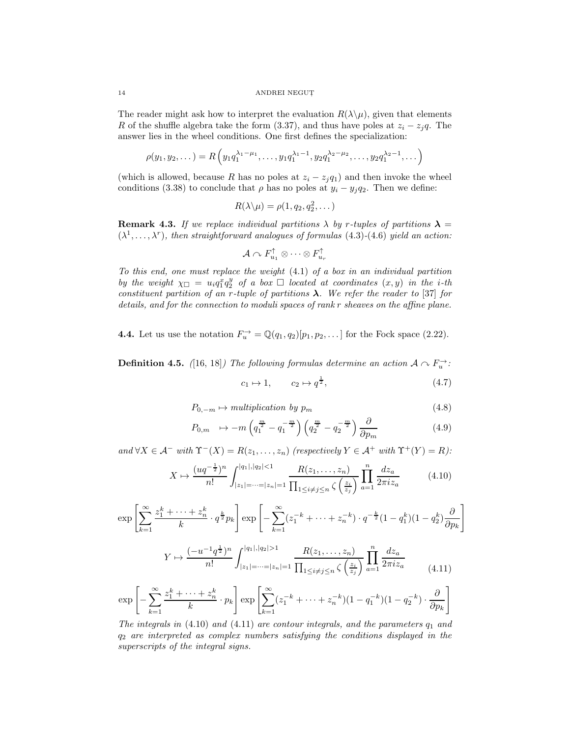The reader might ask how to interpret the evaluation  $R(\lambda|\mu)$ , given that elements R of the shuffle algebra take the form (3.37), and thus have poles at  $z_i - z_jq$ . The answer lies in the wheel conditions. One first defines the specialization:

$$
\rho(y_1, y_2, \dots) = R\left(y_1 q_1^{\lambda_1 - \mu_1}, \dots, y_1 q_1^{\lambda_1 - 1}, y_2 q_1^{\lambda_2 - \mu_2}, \dots, y_2 q_1^{\lambda_2 - 1}, \dots\right)
$$

(which is allowed, because R has no poles at  $z_i - z_j q_1$ ) and then invoke the wheel conditions (3.38) to conclude that  $\rho$  has no poles at  $y_i - y_j q_2$ . Then we define:

$$
R(\lambda \backslash \mu) = \rho(1, q_2, q_2^2, \dots)
$$

**Remark 4.3.** If we replace individual partitions  $\lambda$  by r-tuples of partitions  $\lambda$  =  $(\lambda^1, \ldots, \lambda^r)$ , then straightforward analogues of formulas (4.3)-(4.6) yield an action:

$$
\mathcal{A} \curvearrowright F_{u_1}^\uparrow \otimes \cdots \otimes F_{u_r}^\uparrow
$$

To this end, one must replace the weight (4.1) of a box in an individual partition by the weight  $\chi_{\Box} = u_i q_1^x q_2^y$  of a box  $\Box$  located at coordinates  $(x, y)$  in the i-th constituent partition of an r-tuple of partitions  $\lambda$ . We refer the reader to [37] for details, and for the connection to moduli spaces of rank r sheaves on the affine plane.

**4.4.** Let us use the notation  $F_u^{\rightarrow} = \mathbb{Q}(q_1, q_2)[p_1, p_2, \dots]$  for the Fock space (2.22).

**Definition 4.5.** ([16, 18]) The following formulas determine an action  $A \sim F_u^{\rightarrow}$ :

$$
c_1 \mapsto 1, \qquad c_2 \mapsto q^{\frac{1}{2}}, \tag{4.7}
$$

$$
P_{0,-m} \mapsto multiplication \; by \; p_m \tag{4.8}
$$

$$
P_{0,m} \to -m\left(q_1^{\frac{m}{2}} - q_1^{-\frac{m}{2}}\right)\left(q_2^{\frac{m}{2}} - q_2^{-\frac{m}{2}}\right)\frac{\partial}{\partial p_m} \tag{4.9}
$$

and  $\forall X \in \mathcal{A}^-$  with  $\Upsilon^-(X) = R(z_1, \ldots, z_n)$  (respectively  $Y \in \mathcal{A}^+$  with  $\Upsilon^+(Y) = R$ ):

$$
X \mapsto \frac{(uq^{-\frac{1}{2}})^n}{n!} \int_{|z_1| = \dots = |z_n| = 1}^{|q_1|, |q_2| < 1} \frac{R(z_1, \dots, z_n)}{\prod_{1 \le i \ne j \le n} \zeta\left(\frac{z_i}{z_j}\right)} \prod_{a=1}^n \frac{dz_a}{2\pi i z_a} \tag{4.10}
$$

$$
\exp\left[\sum_{k=1}^{\infty} \frac{z_1^k + \dots + z_n^k}{k} \cdot q^{\frac{k}{2}} p_k\right] \exp\left[-\sum_{k=1}^{\infty} (z_1^{-k} + \dots + z_n^{-k}) \cdot q^{-\frac{k}{2}} (1 - q_1^k)(1 - q_2^k) \frac{\partial}{\partial p_k}\right]
$$

$$
Y \mapsto \frac{(-u^{-1}q^{\frac{1}{2}})^n}{n!} \int_{|z_1| = \dots = |z_n| = 1}^{|q_1|, |q_2| > 1} \frac{R(z_1, \dots, z_n)}{\prod_{1 \le i \ne j \le n} \zeta\left(\frac{z_i}{z_j}\right)} \prod_{a=1}^n \frac{dz_a}{2\pi i z_a} \tag{4.11}
$$

$$
\exp\left[-\sum_{k=1}^{\infty}\frac{z_1^k+\cdots+z_n^k}{k}\cdot p_k\right]\exp\left[\sum_{k=1}^{\infty}(z_1^{-k}+\cdots+z_n^{-k})(1-q_1^{-k})(1-q_2^{-k})\cdot\frac{\partial}{\partial p_k}\right]
$$

The integrals in  $(4.10)$  and  $(4.11)$  are contour integrals, and the parameters  $q_1$  and  $q_2$  are interpreted as complex numbers satisfying the conditions displayed in the superscripts of the integral signs.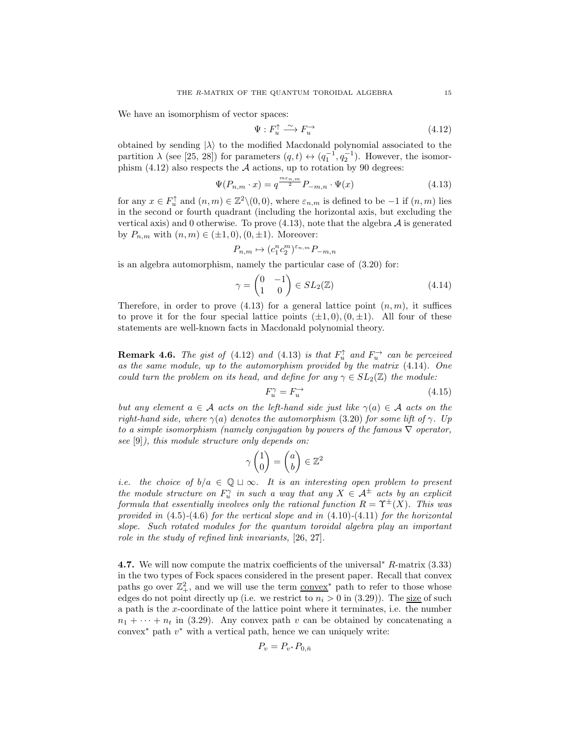We have an isomorphism of vector spaces:

$$
\Psi: F_u^{\uparrow} \xrightarrow{\sim} F_u^{\rightarrow} \tag{4.12}
$$

obtained by sending  $|\lambda\rangle$  to the modified Macdonald polynomial associated to the partition  $\lambda$  (see [25, 28]) for parameters  $(q, t) \leftrightarrow (q_1^{-1}, q_2^{-1})$ . However, the isomorphism  $(4.12)$  also respects the A actions, up to rotation by 90 degrees:

$$
\Psi(P_{n,m} \cdot x) = q^{\frac{m \epsilon_{n,m}}{2}} P_{-m,n} \cdot \Psi(x)
$$
\n(4.13)

for any  $x \in F_u^{\uparrow}$  and  $(n, m) \in \mathbb{Z}^2 \setminus (0, 0)$ , where  $\varepsilon_{n,m}$  is defined to be  $-1$  if  $(n, m)$  lies in the second or fourth quadrant (including the horizontal axis, but excluding the vertical axis) and 0 otherwise. To prove  $(4.13)$ , note that the algebra  $\mathcal A$  is generated by  $P_{n,m}$  with  $(n,m) \in (\pm 1,0), (0, \pm 1)$ . Moreover:

$$
P_{n,m} \mapsto (c_1^n c_2^m)^{\varepsilon_{n,m}} P_{-m,n}
$$

is an algebra automorphism, namely the particular case of (3.20) for:

 $\vec{v}$ 

$$
\gamma = \begin{pmatrix} 0 & -1 \\ 1 & 0 \end{pmatrix} \in SL_2(\mathbb{Z})
$$
\n(4.14)

Therefore, in order to prove  $(4.13)$  for a general lattice point  $(n, m)$ , it suffices to prove it for the four special lattice points  $(\pm 1, 0), (0, \pm 1)$ . All four of these statements are well-known facts in Macdonald polynomial theory.

**Remark 4.6.** The gist of (4.12) and (4.13) is that  $F_u^{\uparrow}$  and  $F_u^{\rightarrow}$  can be perceived as the same module, up to the automorphism provided by the matrix (4.14). One could turn the problem on its head, and define for any  $\gamma \in SL_2(\mathbb{Z})$  the module:

$$
F_u^{\gamma} = F_u^{\rightarrow} \tag{4.15}
$$

but any element  $a \in \mathcal{A}$  acts on the left-hand side just like  $\gamma(a) \in \mathcal{A}$  acts on the right-hand side, where  $\gamma(a)$  denotes the automorphism (3.20) for some lift of  $\gamma$ . Up to a simple isomorphism (namely conjugation by powers of the famous  $\nabla$  operator, see [9]), this module structure only depends on:

$$
\gamma \begin{pmatrix} 1 \\ 0 \end{pmatrix} = \begin{pmatrix} a \\ b \end{pmatrix} \in \mathbb{Z}^2
$$

i.e. the choice of  $b/a \in \mathbb{Q} \sqcup \infty$ . It is an interesting open problem to present the module structure on  $F_u^{\gamma}$  in such a way that any  $X \in \mathcal{A}^{\pm}$  acts by an explicit formula that essentially involves only the rational function  $R = \Upsilon^{\pm}(X)$ . This was provided in  $(4.5)-(4.6)$  for the vertical slope and in  $(4.10)-(4.11)$  for the horizontal slope. Such rotated modules for the quantum toroidal algebra play an important role in the study of refined link invariants, [26, 27].

4.7. We will now compute the matrix coefficients of the universal<sup>∗</sup> R-matrix (3.33) in the two types of Fock spaces considered in the present paper. Recall that convex paths go over  $\mathbb{Z}_+^2$ , and we will use the term  $\overline{\text{convex}}^*$  path to refer to those whose edges do not point directly up (i.e. we restrict to  $n_i > 0$  in (3.29)). The size of such a path is the x-coordinate of the lattice point where it terminates, i.e. the number  $n_1 + \cdots + n_t$  in (3.29). Any convex path v can be obtained by concatenating a  $convex^*$  path  $v^*$  with a vertical path, hence we can uniquely write:

$$
P_v = P_{v^*} P_{0,\bar{n}}
$$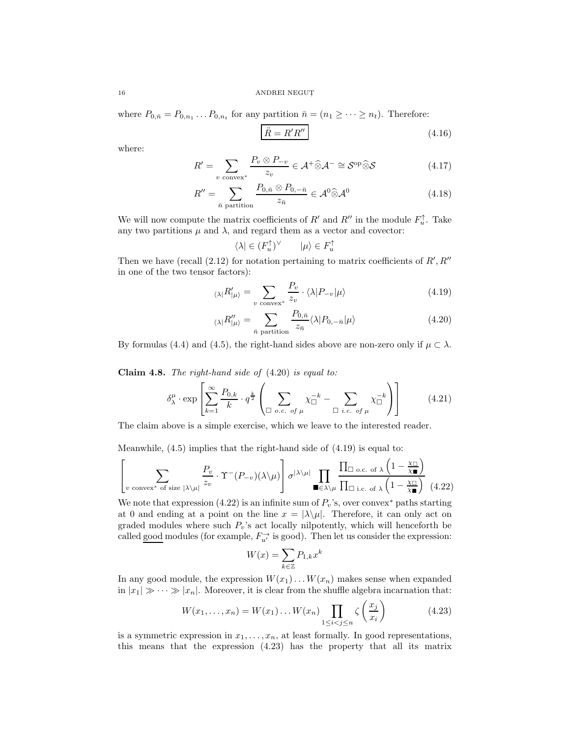where  $P_{0,\bar{n}} = P_{0,n_1} \dots P_{0,n_t}$  for any partition  $\bar{n} = (n_1 \geq \cdots \geq n_t)$ . Therefore:

$$
\ddot{R} = R'R'' \tag{4.16}
$$

where:

$$
R' = \sum_{v \text{ convex}^*} \frac{P_v \otimes P_{-v}}{z_v} \in \mathcal{A}^+ \widehat{\otimes} \mathcal{A}^- \cong \mathcal{S}^{\text{op}} \widehat{\otimes} \mathcal{S} \tag{4.17}
$$

$$
R'' = \sum_{\bar{n} \text{ partition}} \frac{P_{0,\bar{n}} \otimes P_{0,-\bar{n}}}{z_{\bar{n}}} \in \mathcal{A}^0 \widehat{\otimes} \mathcal{A}^0 \tag{4.18}
$$

We will now compute the matrix coefficients of  $R'$  and  $R''$  in the module  $F_u^{\uparrow}$ . Take any two partitions  $\mu$  and  $\lambda$ , and regard them as a vector and covector:

$$
\langle \lambda | \in (F_u^{\uparrow})^{\vee} \qquad | \mu \rangle \in F_u^{\uparrow}
$$

Then we have (recall  $(2.12)$  for notation pertaining to matrix coefficients of  $R', R''$ in one of the two tensor factors):

$$
\langle \lambda | R'_{|\mu} \rangle = \sum_{v \text{ convex}^*} \frac{P_v}{z_v} \cdot \langle \lambda | P_{-v} | \mu \rangle \tag{4.19}
$$

$$
\langle \lambda | R'_{|\mu} \rangle = \sum_{\bar{n} \text{ partition}} \frac{P_{0,\bar{n}}}{z_{\bar{n}}} \langle \lambda | P_{0,-\bar{n}} | \mu \rangle \tag{4.20}
$$

By formulas (4.4) and (4.5), the right-hand sides above are non-zero only if  $\mu \subset \lambda$ .

Claim 4.8. The right-hand side of  $(4.20)$  is equal to:

$$
\delta^{\mu}_{\lambda} \cdot \exp\left[\sum_{k=1}^{\infty} \frac{P_{0,k}}{k} \cdot q^{\frac{k}{2}} \left( \sum_{\Box \ o.c. \ of \ \mu} \chi_{\Box}^{-k} - \sum_{\Box \ i.c. \ of \ \mu} \chi_{\Box}^{-k} \right) \right]
$$
(4.21)

The claim above is a simple exercise, which we leave to the interested reader.

Meanwhile, (4.5) implies that the right-hand side of (4.19) is equal to:

$$
\left[ \sum_{v \text{ convex* of size } |\lambda \setminus \mu|} \frac{P_v}{z_v} \cdot \Upsilon^{-}(P_{-v})(\lambda \setminus \mu) \right] \sigma^{|\lambda \setminus \mu|} \prod_{\blacksquare \in \lambda \setminus \mu} \frac{\prod_{\square \text{ o.c. of } \lambda} \left(1 - \frac{\chi_{\square}}{\chi_{\blacksquare}}\right)}{\prod_{\square \text{ i.c. of } \lambda} \left(1 - \frac{\chi_{\square}}{\chi_{\blacksquare}}\right)} \tag{4.22}
$$

We note that expression (4.22) is an infinite sum of  $P_v$ 's, over convex\* paths starting at 0 and ending at a point on the line  $x = |\lambda \setminus \mu|$ . Therefore, it can only act on graded modules where such  $P_v$ 's act locally nilpotently, which will henceforth be called good modules (for example,  $F_{u'}^{\rightarrow}$  is good). Then let us consider the expression:

$$
W(x) = \sum_{k \in \mathbb{Z}} P_{1,k} x^k
$$

In any good module, the expression  $W(x_1) \dots W(x_n)$  makes sense when expanded in  $|x_1| \gg \cdots \gg |x_n|$ . Moreover, it is clear from the shuffle algebra incarnation that:

$$
W(x_1, \dots, x_n) = W(x_1) \dots W(x_n) \prod_{1 \le i < j \le n} \zeta\left(\frac{x_j}{x_i}\right) \tag{4.23}
$$

is a symmetric expression in  $x_1, \ldots, x_n$ , at least formally. In good representations, this means that the expression (4.23) has the property that all its matrix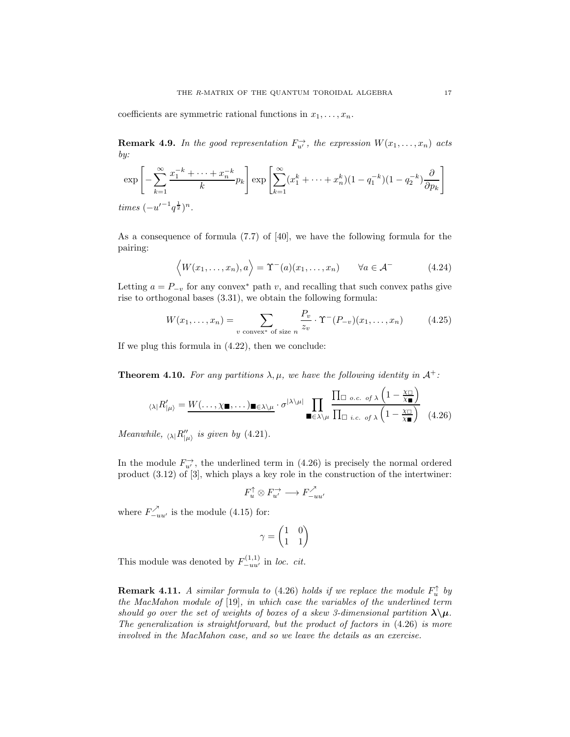coefficients are symmetric rational functions in  $x_1, \ldots, x_n$ .

**Remark 4.9.** In the good representation  $F_{u'}^{\rightarrow}$ , the expression  $W(x_1, \ldots, x_n)$  acts by:

$$
\exp\left[-\sum_{k=1}^{\infty} \frac{x_1^{-k} + \dots + x_n^{-k}}{k} p_k\right] \exp\left[\sum_{k=1}^{\infty} (x_1^k + \dots + x_n^k)(1 - q_1^{-k})(1 - q_2^{-k}) \frac{\partial}{\partial p_k}\right]
$$
  
times  $(-u'^{-1}q^{\frac{1}{2}})^n$ .

As a consequence of formula (7.7) of [40], we have the following formula for the pairing:

$$
\langle W(x_1,\ldots,x_n),a\rangle=\Upsilon^-(a)(x_1,\ldots,x_n)\qquad\forall a\in\mathcal{A}^-
$$
\n(4.24)

Letting  $a = P_{-v}$  for any convex<sup>∗</sup> path v, and recalling that such convex paths give rise to orthogonal bases (3.31), we obtain the following formula:

$$
W(x_1,\ldots,x_n) = \sum_{v \text{ convex* of size } n} \frac{P_v}{z_v} \cdot \Upsilon^{-}(P_{-v})(x_1,\ldots,x_n) \tag{4.25}
$$

If we plug this formula in (4.22), then we conclude:

**Theorem 4.10.** For any partitions  $\lambda, \mu$ , we have the following identity in  $\mathcal{A}^+$ :

$$
\langle \lambda | R'_{|\mu} \rangle = \underbrace{W(\dots, \chi_{\blacksquare}, \dots)_{\blacksquare \in \lambda \setminus \mu}}_{\blacksquare \in \lambda \setminus \mu} \cdot \sigma^{|\lambda \setminus \mu|} \prod_{\blacksquare \in \lambda \setminus \mu} \frac{\prod_{\square \ o.c. \ of \lambda} \left(1 - \frac{\chi_{\square}}{\chi_{\blacksquare}}\right)}{\prod_{\square \ i.c. \ of \lambda} \left(1 - \frac{\chi_{\square}}{\chi_{\blacksquare}}\right)} \tag{4.26}
$$

Meanwhile,  $\langle \lambda | R''_{\vert \mu \rangle}$  is given by (4.21).

In the module  $F_{u'}^{\rightarrow}$ , the underlined term in (4.26) is precisely the normal ordered product (3.12) of [3], which plays a key role in the construction of the intertwiner:

$$
F_u^{\uparrow} \otimes F_{u'}^{\rightarrow} \longrightarrow F_{-uu'}^{\nearrow}
$$

where  $F_{-uu'}^{\nearrow}$  is the module (4.15) for:

$$
\gamma=\begin{pmatrix}1&0\\1&1\end{pmatrix}
$$

This module was denoted by  $F_{-uu'}^{(1,1)}$  in loc. cit.

**Remark 4.11.** A similar formula to (4.26) holds if we replace the module  $F_u^{\uparrow}$  by the MacMahon module of [19], in which case the variables of the underlined term should go over the set of weights of boxes of a skew 3-dimensional partition  $\lambda \backslash \mu$ . The generalization is straightforward, but the product of factors in (4.26) is more involved in the MacMahon case, and so we leave the details as an exercise.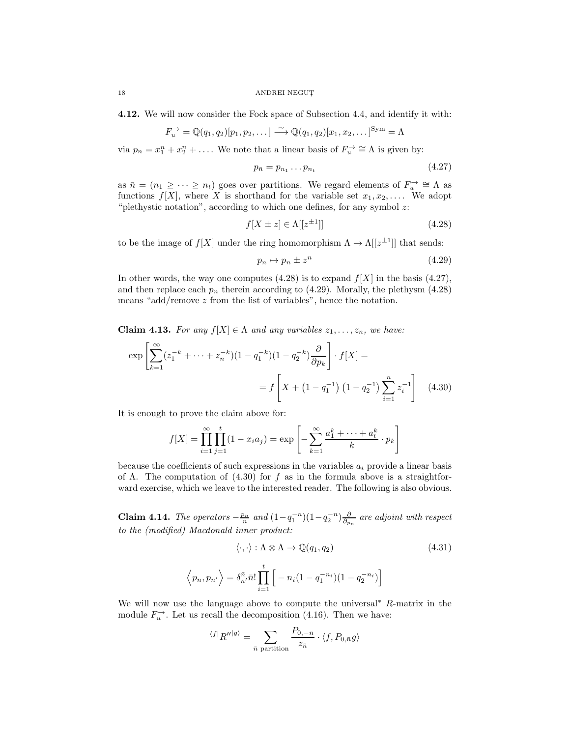4.12. We will now consider the Fock space of Subsection 4.4, and identify it with:

$$
F_u^{\rightarrow} = \mathbb{Q}(q_1, q_2)[p_1, p_2, \dots] \xrightarrow{\sim} \mathbb{Q}(q_1, q_2)[x_1, x_2, \dots]^{Sym} = \Lambda
$$

via  $p_n = x_1^n + x_2^n + \dots$  We note that a linear basis of  $F_u^{\to} \cong \Lambda$  is given by:

$$
p_{\bar{n}} = p_{n_1} \dots p_{n_t} \tag{4.27}
$$

as  $\bar{n} = (n_1 \geq \cdots \geq n_t)$  goes over partitions. We regard elements of  $F_u^{\rightarrow} \cong \Lambda$  as functions  $f[X]$ , where X is shorthand for the variable set  $x_1, x_2, \ldots$ . We adopt "plethystic notation", according to which one defines, for any symbol  $z$ :

$$
f[X \pm z] \in \Lambda[[z^{\pm 1}]]\tag{4.28}
$$

to be the image of  $f[X]$  under the ring homomorphism  $\Lambda \to \Lambda[[z^{\pm 1}]]$  that sends:

$$
p_n \mapsto p_n \pm z^n \tag{4.29}
$$

In other words, the way one computes  $(4.28)$  is to expand  $f[X]$  in the basis  $(4.27)$ , and then replace each  $p_n$  therein according to (4.29). Morally, the plethysm (4.28) means "add/remove z from the list of variables", hence the notation.

**Claim 4.13.** For any  $f[X] \in \Lambda$  and any variables  $z_1, \ldots, z_n$ , we have:

$$
\exp\left[\sum_{k=1}^{\infty} (z_1^{-k} + \dots + z_n^{-k})(1 - q_1^{-k})(1 - q_2^{-k}) \frac{\partial}{\partial p_k}\right] \cdot f[X] =
$$
  
=  $f\left[X + (1 - q_1^{-1})(1 - q_2^{-1}) \sum_{i=1}^{n} z_i^{-1}\right]$  (4.30)

It is enough to prove the claim above for:

 $\langle$ 

$$
f[X] = \prod_{i=1}^{\infty} \prod_{j=1}^{t} (1 - x_i a_j) = \exp \left[ - \sum_{k=1}^{\infty} \frac{a_1^k + \dots + a_t^k}{k} \cdot p_k \right]
$$

because the coefficients of such expressions in the variables  $a_i$  provide a linear basis of  $\Lambda$ . The computation of  $(4.30)$  for f as in the formula above is a straightforward exercise, which we leave to the interested reader. The following is also obvious.

Claim 4.14. The operators  $-\frac{p_n}{n}$  and  $(1-q_1^{-n})(1-q_2^{-n})\frac{\partial}{\partial p_n}$  are adjoint with respect to the (modified) Macdonald inner product:

$$
\langle \cdot, \cdot \rangle : \Lambda \otimes \Lambda \to \mathbb{Q}(q_1, q_2)
$$
\n
$$
\langle \cdot, \cdot \rangle : \Lambda \otimes \Lambda \to \mathbb{Q}(q_1, q_2)
$$
\n
$$
p_{\bar{n}}, p_{\bar{n}'} \rangle = \delta_{\bar{n}'}^{\bar{n}} \cdot \prod_{i=1}^t \left[ -n_i (1 - q_1^{-n_i})(1 - q_2^{-n_i}) \right]
$$
\n
$$
(4.31)
$$

We will now use the language above to compute the universal<sup>∗</sup> R-matrix in the module  $F_u^{\rightarrow}$ . Let us recall the decomposition (4.16). Then we have:

$$
\langle f|_{R''}|g\rangle = \sum_{\bar{n} \text{ partition}} \frac{P_{0,-\bar{n}}}{z_{\bar{n}}} \cdot \langle f, P_{0,\bar{n}}g\rangle
$$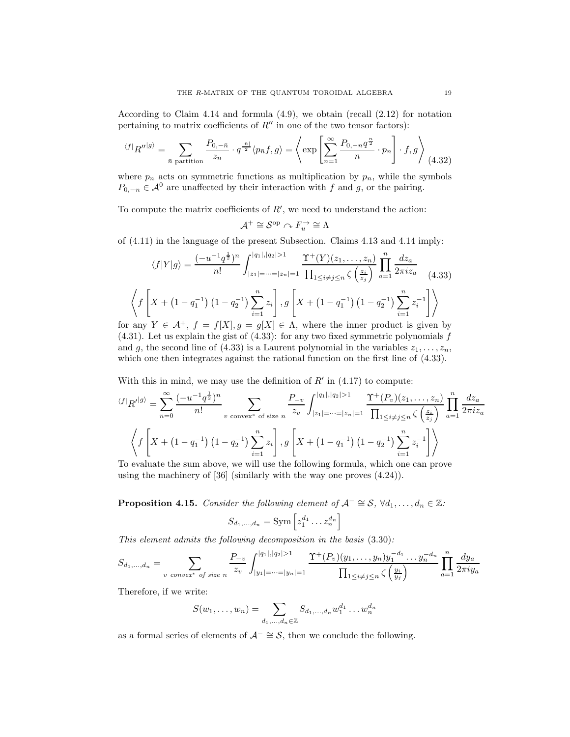According to Claim 4.14 and formula  $(4.9)$ , we obtain (recall  $(2.12)$ ) for notation pertaining to matrix coefficients of  $R''$  in one of the two tensor factors):

$$
\langle f|R''|g\rangle = \sum_{\bar{n}\text{ partition}} \frac{P_{0,-\bar{n}}}{z_{\bar{n}}} \cdot q^{\frac{|\bar{n}|}{2}} \langle p_{\bar{n}}f, g \rangle = \left\langle \exp\left[\sum_{n=1}^{\infty} \frac{P_{0,-n}q^{\frac{n}{2}}}{n} \cdot p_n\right] \cdot f, g \right\rangle (4.32)
$$

where  $p_n$  acts on symmetric functions as multiplication by  $p_n$ , while the symbols  $P_{0,-n} \in \mathcal{A}^0$  are unaffected by their interaction with f and g, or the pairing.

To compute the matrix coefficients of  $R'$ , we need to understand the action:

$$
\mathcal{A}^+\cong\mathcal{S}^{\mathrm{op}}\curvearrowright F_u^{\to}\cong\Lambda
$$

of (4.11) in the language of the present Subsection. Claims 4.13 and 4.14 imply:

$$
\langle f|Y|g\rangle = \frac{(-u^{-1}q^{\frac{1}{2}})^n}{n!} \int_{|z_1| = \dots = |z_n| = 1}^{|q_1|, |q_2| > 1} \frac{\Upsilon^+(Y)(z_1, \dots, z_n)}{\prod_{1 \le i \ne j \le n} \zeta\left(\frac{z_i}{z_j}\right)} \prod_{a=1}^n \frac{dz_a}{2\pi i z_a} \tag{4.33}
$$

$$
\left\langle f\left[X + \left(1 - q_1^{-1}\right)\left(1 - q_2^{-1}\right)\sum_{i=1}^n z_i\right], g\left[X + \left(1 - q_1^{-1}\right)\left(1 - q_2^{-1}\right)\sum_{i=1}^n z_i^{-1}\right]\right\rangle
$$

for any  $Y \in \mathcal{A}^+, f = f[X], g = g[X] \in \Lambda$ , where the inner product is given by  $(4.31)$ . Let us explain the gist of  $(4.33)$ : for any two fixed symmetric polynomials f and g, the second line of (4.33) is a Laurent polynomial in the variables  $z_1, \ldots, z_n$ , which one then integrates against the rational function on the first line of (4.33).

With this in mind, we may use the definition of  $R'$  in  $(4.17)$  to compute:

$$
\langle f|R^{\prime|g\rangle} = \sum_{n=0}^{\infty} \frac{(-u^{-1}q^{\frac{1}{2}})^n}{n!} \sum_{v \text{ convex* of size } n} \frac{P_{-v}}{z_v} \int_{|z_1| = \dots = |z_n| = 1}^{|q_1|, |q_2| > 1} \frac{\Upsilon^+(P_v)(z_1, \dots, z_n)}{\prod_{1 \le i \ne j \le n} \zeta\left(\frac{z_i}{z_j}\right)} \prod_{a=1}^n \frac{dz_a}{2\pi i z_a}
$$
  

$$
\left\langle f\left[X + \left(1 - q_1^{-1}\right)\left(1 - q_2^{-1}\right) \sum_{i=1}^n z_i\right], g\left[X + \left(1 - q_1^{-1}\right)\left(1 - q_2^{-1}\right) \sum_{i=1}^n z_i^{-1}\right] \right\rangle
$$
  
To evaluate the sum above, we will use the following formula, which one can prove

To evaluate the sum above, we will use the following formula, which one can prove using the machinery of [36] (similarly with the way one proves (4.24)).

**Proposition 4.15.** Consider the following element of  $\mathcal{A}^- \cong \mathcal{S}$ ,  $\forall d_1, \ldots, d_n \in \mathbb{Z}$ :

$$
S_{d_1,\dots,d_n} = \text{Sym}\left[z_1^{d_1}\dots z_n^{d_n}\right]
$$

This element admits the following decomposition in the basis (3.30):

$$
S_{d_1,...,d_n} = \sum_{v \text{ convex* of size } n} \frac{P_{-v}}{z_v} \int_{|y_1| = \dots = |y_n| = 1}^{|q_1|, |q_2| > 1} \frac{\Upsilon^+(P_v)(y_1, \dots, y_n) y_1^{-d_1} \dots y_n^{-d_n}}{\prod_{1 \le i \ne j \le n} \zeta\left(\frac{y_i}{y_j}\right)} \prod_{a=1}^n \frac{dy_a}{2\pi i y_a}
$$

Therefore, if we write:

$$
S(w_1, \ldots, w_n) = \sum_{d_1, \ldots, d_n \in \mathbb{Z}} S_{d_1, \ldots, d_n} w_1^{d_1} \ldots w_n^{d_n}
$$

as a formal series of elements of  $\mathcal{A}^- \cong \mathcal{S}$ , then we conclude the following.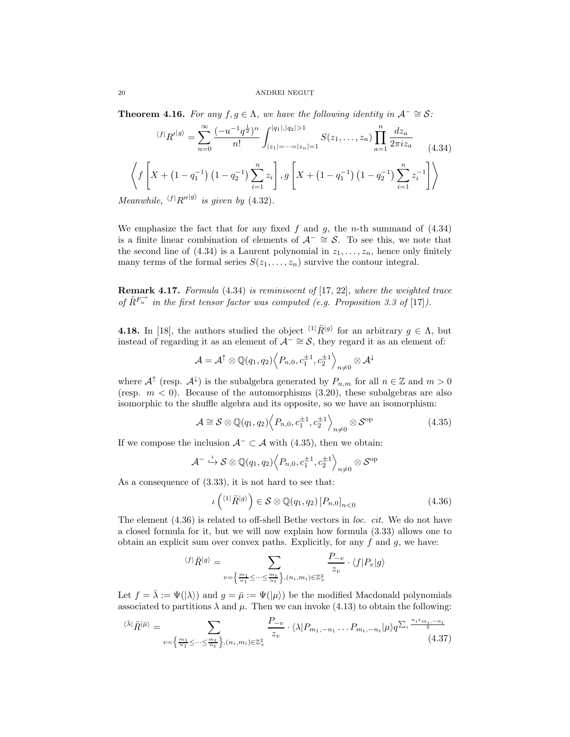**Theorem 4.16.** For any  $f, g \in \Lambda$ , we have the following identity in  $\mathcal{A}^- \cong \mathcal{S}$ :

$$
\langle f|_{R'}|g\rangle = \sum_{n=0}^{\infty} \frac{(-u^{-1}q^{\frac{1}{2}})^n}{n!} \int_{|z_1| = \dots = |z_n| = 1}^{|q_1|, |q_2| > 1} S(z_1, \dots, z_n) \prod_{a=1}^n \frac{dz_a}{2\pi i z_a}
$$
(4.34)  

$$
\left\langle f\left[X + \left(1 - q_1^{-1}\right) \left(1 - q_2^{-1}\right) \sum_{i=1}^n z_i\right], g\left[X + \left(1 - q_1^{-1}\right) \left(1 - q_2^{-1}\right) \sum_{i=1}^n z_i^{-1}\right]\right\rangle
$$

Meanwhile,  $\langle f|R''|g\rangle$  is given by (4.32).

We emphasize the fact that for any fixed  $f$  and  $g$ , the n-th summand of  $(4.34)$ is a finite linear combination of elements of  $\mathcal{A}^- \cong \mathcal{S}$ . To see this, we note that the second line of (4.34) is a Laurent polynomial in  $z_1, \ldots, z_n$ , hence only finitely many terms of the formal series  $S(z_1, \ldots, z_n)$  survive the contour integral.

Remark 4.17. Formula (4.34) is reminiscent of [17, 22], where the weighted trace of  $\ddot{R}^{F_u^-}$  in the first tensor factor was computed (e.g. Proposition 3.3 of [17]).

**4.18.** In [18], the authors studied the object  $\langle 1|\hat{R}|g \rangle$  for an arbitrary  $g \in \Lambda$ , but instead of regarding it as an element of  $\mathcal{A}^- \cong \mathcal{S}$ , they regard it as an element of:

$$
\mathcal{A} = \mathcal{A}^{\uparrow} \otimes \mathbb{Q}(q_1, q_2) \Big\langle P_{n,0}, c_1^{\pm 1}, c_2^{\pm 1} \Big\rangle_{n \neq 0} \otimes \mathcal{A}^{\downarrow}
$$

where  $\mathcal{A}^{\uparrow}$  (resp.  $\mathcal{A}^{\downarrow}$ ) is the subalgebra generated by  $P_{n,m}$  for all  $n \in \mathbb{Z}$  and  $m > 0$ (resp.  $m < 0$ ). Because of the automorphisms (3.20), these subalgebras are also isomorphic to the shuffle algebra and its opposite, so we have an isomorphism:

$$
\mathcal{A} \cong \mathcal{S} \otimes \mathbb{Q}(q_1, q_2) \left\langle P_{n,0}, c_1^{\pm 1}, c_2^{\pm 1} \right\rangle_{n \neq 0} \otimes \mathcal{S}^{\text{op}} \tag{4.35}
$$

If we compose the inclusion  $A^- \subset A$  with (4.35), then we obtain:

$$
\mathcal{A}^- \stackrel{\iota}{\hookrightarrow} \mathcal{S} \otimes \mathbb{Q}(q_1, q_2) \Big\langle P_{n,0}, c_1^{\pm 1}, c_2^{\pm 1} \Big\rangle_{n \neq 0} \otimes \mathcal{S}^{\text{op}}
$$

As a consequence of (3.33), it is not hard to see that:

$$
\iota\left(\langle 1|\ddot{R}^{|g\rangle}\right) \in \mathcal{S} \otimes \mathbb{Q}(q_1, q_2) \left[P_{n,0}\right]_{n<0} \tag{4.36}
$$

The element  $(4.36)$  is related to off-shell Bethe vectors in loc. cit. We do not have a closed formula for it, but we will now explain how formula (3.33) allows one to obtain an explicit sum over convex paths. Explicitly, for any  $f$  and  $g$ , we have:

$$
\langle f|\ddot{R}|g\rangle = \sum_{v=\left\{\frac{m_1}{n_1}\leq\cdots\leq\frac{m_t}{n_t}\right\},(n_i,m_i)\in\mathbb{Z}_+^2} \frac{P_{-v}}{z_v} \cdot \langle f|P_v|g\rangle
$$

Let  $f = \overline{\lambda} := \Psi(|\lambda\rangle)$  and  $g = \overline{\mu} := \Psi(|\mu\rangle)$  be the modified Macdonald polynomials associated to partitions  $\lambda$  and  $\mu$ . Then we can invoke (4.13) to obtain the following:

$$
\langle \bar{\lambda} | \ddot{R} | \bar{\mu} \rangle = \sum_{v = \left\{ \frac{m_1}{n_1} \le \dots \le \frac{m_t}{n_t} \right\}, (n_i, m_i) \in \mathbb{Z}_+^2} \frac{P_{-v}}{z_v} \cdot \langle \lambda | P_{m_1, -n_1} \dots P_{m_t, -n_t} | \mu \rangle q^{\sum_i \frac{n_i \varepsilon_{m_i, -n_i}}{2}} \tag{4.37}
$$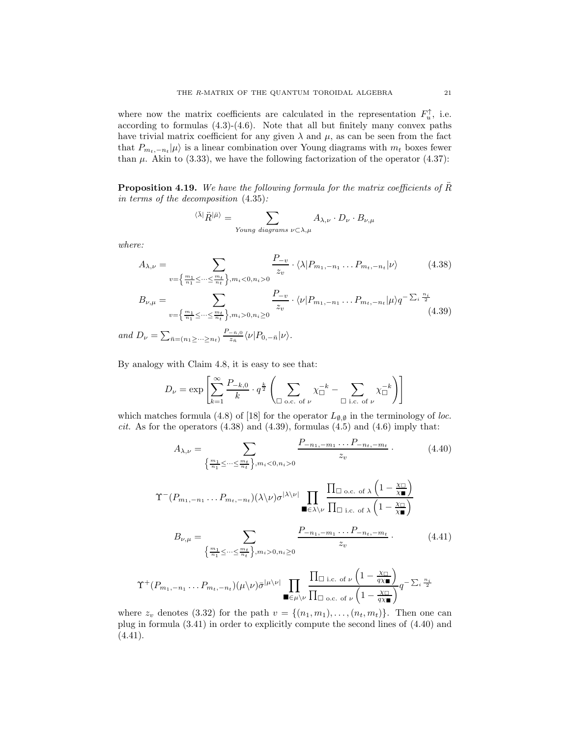where now the matrix coefficients are calculated in the representation  $F_u^{\uparrow}$ , i.e. according to formulas (4.3)-(4.6). Note that all but finitely many convex paths have trivial matrix coefficient for any given  $\lambda$  and  $\mu$ , as can be seen from the fact that  $P_{m_t,-n_t}|\mu\rangle$  is a linear combination over Young diagrams with  $m_t$  boxes fewer than  $\mu$ . Akin to (3.33), we have the following factorization of the operator (4.37):

**Proposition 4.19.** We have the following formula for the matrix coefficients of  $\tilde{R}$ in terms of the decomposition (4.35):

$$
\langle \bar{\lambda} | \ddot{R}^{\dagger} \bar{\mu} \rangle = \sum_{\text{Young diagrams } \nu \subset \lambda, \mu} A_{\lambda, \nu} \cdot D_{\nu} \cdot B_{\nu, \mu}
$$

where:

 $\Upsilon^+$ 

$$
A_{\lambda,\nu} = \sum_{v=\left\{\frac{m_1}{n_1}\leq\cdots\leq\frac{m_t}{n_t}\right\}, m_i<0, n_i>0} \frac{P_{-v}}{z_v} \cdot \langle \lambda | P_{m_1,-n_1} \dots P_{m_t,-n_t} | \nu \rangle \tag{4.38}
$$

$$
B_{\nu,\mu} = \sum_{v=\left\{\frac{m_1}{n_1}\leq\cdots\leq\frac{m_t}{n_t}\right\}, m_i>0, n_i\geq 0} \frac{P_{-v}}{z_v} \cdot \langle \nu | P_{m_1,-n_1} \dots P_{m_t,-n_t} | \mu \rangle q^{-\sum_{i}\frac{n_i}{2}} \tag{4.39}
$$

and  $D_{\nu} = \sum_{\bar{n}=(n_1\geq \cdots \geq n_t)}$  $P_{-\bar{n},0}$  $\frac{-\bar{n},0}{z_{\bar{n}}}\langle\nu|P_{0,-\bar{n}}|\nu\rangle.$ 

By analogy with Claim 4.8, it is easy to see that:

$$
D_{\nu} = \exp \left[ \sum_{k=1}^{\infty} \frac{P_{-k,0}}{k} \cdot q^{\frac{k}{2}} \left( \sum_{\Box \text{ o.c. of } \nu} \chi_{\Box}^{-k} - \sum_{\Box \text{ i.c. of } \nu} \chi_{\Box}^{-k} \right) \right]
$$

which matches formula (4.8) of [18] for the operator  $L_{\emptyset, \emptyset}$  in the terminology of loc. *cit.* As for the operators  $(4.38)$  and  $(4.39)$ , formulas  $(4.5)$  and  $(4.6)$  imply that:

$$
A_{\lambda,\nu} = \sum_{\left\{\frac{m_1}{n_1} \leq \dots \leq \frac{m_t}{n_t}\right\}, m_i < 0, n_i > 0} \frac{P_{-n_1, -m_1} \dots P_{-n_t, -m_t}}{z_v} \,. \tag{4.40}
$$
\n
$$
\Upsilon^{-}(P_{m_1, -n_1} \dots P_{m_t, -n_t})(\lambda \backslash \nu) \sigma^{|\lambda \backslash \nu|} \prod_{\blacksquare \in \lambda \backslash \nu} \frac{\prod_{\square \text{ o.c. of } \lambda} \left(1 - \frac{\chi_{\square}}{\chi_{\blacksquare}}\right)}{\prod_{\square \text{ i.c. of } \lambda} \left(1 - \frac{\chi_{\square}}{\chi_{\blacksquare}}\right)}
$$
\n
$$
B_{\nu, \mu} = \sum_{\left\{\frac{m_1}{n_1} \leq \dots \leq \frac{m_t}{n_t}\right\}, m_i > 0, n_i \geq 0} \frac{P_{-n_1, -m_1} \dots P_{-n_t, -m_t}}{z_v} \,. \tag{4.41}
$$
\n
$$
+ (P_{m_1, -n_1} \dots P_{m_t, -n_t})(\mu \backslash \nu) \bar{\sigma}^{|\mu \backslash \nu|} \prod_{\blacksquare \in \mu \backslash \nu} \frac{\prod_{\square \text{ i.c. of } \nu} \left(1 - \frac{\chi_{\square}}{q \chi_{\blacksquare}}\right)}{\prod_{\square \text{ o.c. of } \nu} \left(1 - \frac{\chi_{\square}}{q \chi_{\blacksquare}}\right)} q^{-\sum_{i} \frac{n_i}{2}}
$$

where  $z_v$  denotes (3.32) for the path  $v = \{(n_1, m_1), \ldots, (n_t, m_t)\}\.$  Then one can plug in formula (3.41) in order to explicitly compute the second lines of (4.40) and  $(4.41).$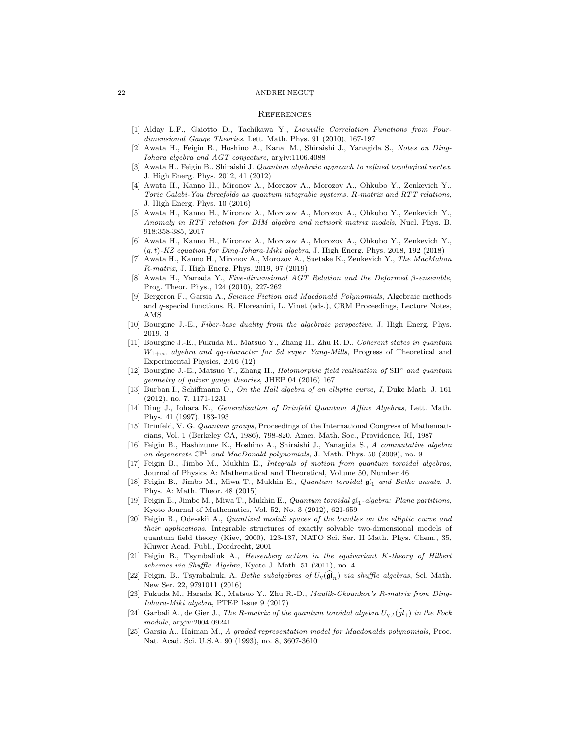### **REFERENCES**

- [1] Alday L.F., Gaiotto D., Tachikawa Y., Liouville Correlation Functions from Fourdimensional Gauge Theories, Lett. Math. Phys. 91 (2010), 167-197
- [2] Awata H., Feigin B., Hoshino A., Kanai M., Shiraishi J., Yanagida S., Notes on Ding-Iohara algebra and AGT conjecture, arχiv:1106.4088
- Awata H., Feigin B., Shiraishi J. Quantum algebraic approach to refined topological vertex, J. High Energ. Phys. 2012, 41 (2012)
- [4] Awata H., Kanno H., Mironov A., Morozov A., Morozov A., Ohkubo Y., Zenkevich Y., Toric Calabi-Yau threefolds as quantum integrable systems. R-matrix and RTT relations, J. High Energ. Phys. 10 (2016)
- [5] Awata H., Kanno H., Mironov A., Morozov A., Morozov A., Ohkubo Y., Zenkevich Y., Anomaly in RTT relation for DIM algebra and network matrix models, Nucl. Phys. B, 918:358-385, 2017
- [6] Awata H., Kanno H., Mironov A., Morozov A., Morozov A., Ohkubo Y., Zenkevich Y.,  $(q, t)$ -KZ equation for Ding-Iohara-Miki algebra, J. High Energ. Phys. 2018, 192 (2018)
- [7] Awata H., Kanno H., Mironov A., Morozov A., Suetake K., Zenkevich Y., The MacMahon R-matrix, J. High Energ. Phys. 2019, 97 (2019)
- [8] Awata H., Yamada Y., Five-dimensional AGT Relation and the Deformed β-ensemble, Prog. Theor. Phys., 124 (2010), 227-262
- [9] Bergeron F., Garsia A., Science Fiction and Macdonald Polynomials, Algebraic methods and q-special functions. R. Floreanini, L. Vinet (eds.), CRM Proceedings, Lecture Notes, AMS
- [10] Bourgine J.-E., Fiber-base duality from the algebraic perspective, J. High Energ. Phys. 2019, 3
- [11] Bourgine J.-E., Fukuda M., Matsuo Y., Zhang H., Zhu R. D., Coherent states in quantum  $W_{1+\infty}$  algebra and qq-character for 5d super Yang-Mills, Progress of Theoretical and Experimental Physics, 2016 (12)
- [12] Bourgine J.-E., Matsuo Y., Zhang H., Holomorphic field realization of  $SH<sup>c</sup>$  and quantum geometry of quiver gauge theories, JHEP 04 (2016) 167
- [13] Burban I., Schiffmann O., On the Hall algebra of an elliptic curve, I, Duke Math. J. 161 (2012), no. 7, 1171-1231
- [14] Ding J., Iohara K., Generalization of Drinfeld Quantum Affine Algebras, Lett. Math. Phys. 41 (1997), 183-193
- [15] Drinfeld, V. G. Quantum groups, Proceedings of the International Congress of Mathematicians, Vol. 1 (Berkeley CA, 1986), 798-820, Amer. Math. Soc., Providence, RI, 1987
- [16] Feigin B., Hashizume K., Hoshino A., Shiraishi J., Yanagida S., A commutative algebra on degenerate  $\mathbb{CP}^1$  and MacDonald polynomials, J. Math. Phys. 50 (2009), no. 9
- [17] Feigin B., Jimbo M., Mukhin E., Integrals of motion from quantum toroidal algebras, Journal of Physics A: Mathematical and Theoretical, Volume 50, Number 46
- [18] Feigin B., Jimbo M., Miwa T., Mukhin E., Quantum toroidal  $\mathfrak{gl}_1$  and Bethe ansatz, J. Phys. A: Math. Theor. 48 (2015)
- [19] Feigin B., Jimbo M., Miwa T., Mukhin E., *Quantum toroidal*  $\mathfrak{gl}_1$ -algebra: Plane partitions, Kyoto Journal of Mathematics, Vol. 52, No. 3 (2012), 621-659
- [20] Feigin B., Odesskii A., Quantized moduli spaces of the bundles on the elliptic curve and their applications, Integrable structures of exactly solvable two-dimensional models of quantum field theory (Kiev, 2000), 123-137, NATO Sci. Ser. II Math. Phys. Chem., 35, Kluwer Acad. Publ., Dordrecht, 2001
- [21] Feigin B., Tsymbaliuk A., Heisenberg action in the equivariant K-theory of Hilbert schemes via Shuffle Algebra, Kyoto J. Math. 51 (2011), no. 4
- [22] Feigin, B., Tsymbaliuk, A. Bethe subalgebras of  $U_q(\hat{\mathfrak{gl}}_n)$  via shuffle algebras, Sel. Math. New Ser. 22, 9791011 (2016)
- [23] Fukuda M., Harada K., Matsuo Y., Zhu R.-D., Maulik-Okounkov's R-matrix from Ding-Iohara-Miki algebra, PTEP Issue 9 (2017)
- [24] Garbali A., de Gier J., The R-matrix of the quantum toroidal algebra  $U_{q,t}(\ddot{gl}_1)$  in the Fock module,  $arxiv:2004.09241$
- [25] Garsia A., Haiman M., A graded representation model for Macdonalds polynomials, Proc. Nat. Acad. Sci. U.S.A. 90 (1993), no. 8, 3607-3610